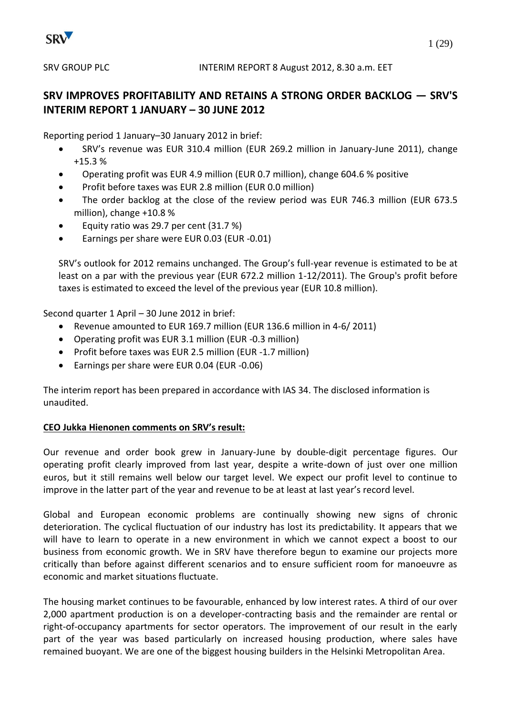

# **SRV IMPROVES PROFITABILITY AND RETAINS A STRONG ORDER BACKLOG — SRV'S INTERIM REPORT 1 JANUARY – 30 JUNE 2012**

Reporting period 1 January–30 January 2012 in brief:

- SRV's revenue was EUR 310.4 million (EUR 269.2 million in January-June 2011), change +15.3 %
- Operating profit was EUR 4.9 million (EUR 0.7 million), change 604.6 % positive
- Profit before taxes was EUR 2.8 million (EUR 0.0 million)
- The order backlog at the close of the review period was EUR 746.3 million (EUR 673.5 million), change +10.8 %
- Equity ratio was 29.7 per cent (31.7 %)
- Earnings per share were EUR 0.03 (EUR -0.01)

SRV's outlook for 2012 remains unchanged. The Group's full-year revenue is estimated to be at least on a par with the previous year (EUR 672.2 million 1-12/2011). The Group's profit before taxes is estimated to exceed the level of the previous year (EUR 10.8 million).

Second quarter 1 April – 30 June 2012 in brief:

- Revenue amounted to EUR 169.7 million (EUR 136.6 million in 4-6/ 2011)
- Operating profit was EUR 3.1 million (EUR -0.3 million)
- Profit before taxes was EUR 2.5 million (EUR -1.7 million)
- Earnings per share were EUR 0.04 (EUR -0.06)

The interim report has been prepared in accordance with IAS 34. The disclosed information is unaudited.

# **CEO Jukka Hienonen comments on SRV's result:**

Our revenue and order book grew in January-June by double-digit percentage figures. Our operating profit clearly improved from last year, despite a write-down of just over one million euros, but it still remains well below our target level. We expect our profit level to continue to improve in the latter part of the year and revenue to be at least at last year's record level.

Global and European economic problems are continually showing new signs of chronic deterioration. The cyclical fluctuation of our industry has lost its predictability. It appears that we will have to learn to operate in a new environment in which we cannot expect a boost to our business from economic growth. We in SRV have therefore begun to examine our projects more critically than before against different scenarios and to ensure sufficient room for manoeuvre as economic and market situations fluctuate.

The housing market continues to be favourable, enhanced by low interest rates. A third of our over 2,000 apartment production is on a developer-contracting basis and the remainder are rental or right-of-occupancy apartments for sector operators. The improvement of our result in the early part of the year was based particularly on increased housing production, where sales have remained buoyant. We are one of the biggest housing builders in the Helsinki Metropolitan Area.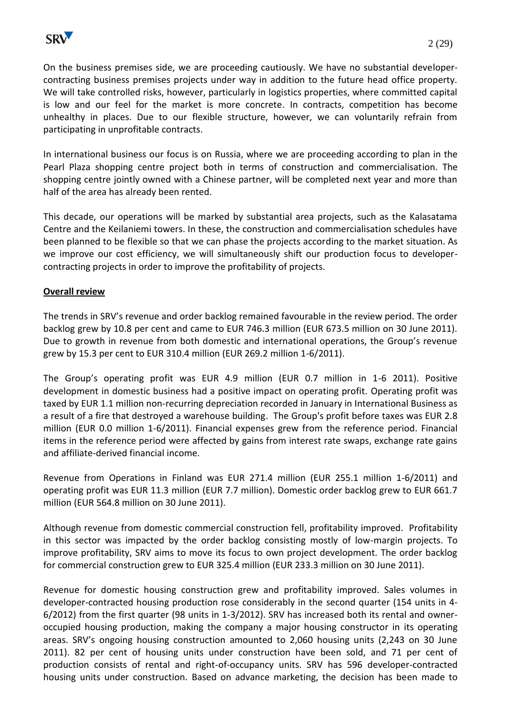

On the business premises side, we are proceeding cautiously. We have no substantial developercontracting business premises projects under way in addition to the future head office property. We will take controlled risks, however, particularly in logistics properties, where committed capital is low and our feel for the market is more concrete. In contracts, competition has become unhealthy in places. Due to our flexible structure, however, we can voluntarily refrain from participating in unprofitable contracts.

In international business our focus is on Russia, where we are proceeding according to plan in the Pearl Plaza shopping centre project both in terms of construction and commercialisation. The shopping centre jointly owned with a Chinese partner, will be completed next year and more than half of the area has already been rented.

This decade, our operations will be marked by substantial area projects, such as the Kalasatama Centre and the Keilaniemi towers. In these, the construction and commercialisation schedules have been planned to be flexible so that we can phase the projects according to the market situation. As we improve our cost efficiency, we will simultaneously shift our production focus to developercontracting projects in order to improve the profitability of projects.

#### **Overall review**

The trends in SRV's revenue and order backlog remained favourable in the review period. The order backlog grew by 10.8 per cent and came to EUR 746.3 million (EUR 673.5 million on 30 June 2011). Due to growth in revenue from both domestic and international operations, the Group's revenue grew by 15.3 per cent to EUR 310.4 million (EUR 269.2 million 1-6/2011).

The Group's operating profit was EUR 4.9 million (EUR 0.7 million in 1-6 2011). Positive development in domestic business had a positive impact on operating profit. Operating profit was taxed by EUR 1.1 million non-recurring depreciation recorded in January in International Business as a result of a fire that destroyed a warehouse building. The Group's profit before taxes was EUR 2.8 million (EUR 0.0 million 1-6/2011). Financial expenses grew from the reference period. Financial items in the reference period were affected by gains from interest rate swaps, exchange rate gains and affiliate-derived financial income.

Revenue from Operations in Finland was EUR 271.4 million (EUR 255.1 million 1-6/2011) and operating profit was EUR 11.3 million (EUR 7.7 million). Domestic order backlog grew to EUR 661.7 million (EUR 564.8 million on 30 June 2011).

Although revenue from domestic commercial construction fell, profitability improved. Profitability in this sector was impacted by the order backlog consisting mostly of low-margin projects. To improve profitability, SRV aims to move its focus to own project development. The order backlog for commercial construction grew to EUR 325.4 million (EUR 233.3 million on 30 June 2011).

Revenue for domestic housing construction grew and profitability improved. Sales volumes in developer-contracted housing production rose considerably in the second quarter (154 units in 4- 6/2012) from the first quarter (98 units in 1-3/2012). SRV has increased both its rental and owneroccupied housing production, making the company a major housing constructor in its operating areas. SRV's ongoing housing construction amounted to 2,060 housing units (2,243 on 30 June 2011). 82 per cent of housing units under construction have been sold, and 71 per cent of production consists of rental and right-of-occupancy units. SRV has 596 developer-contracted housing units under construction. Based on advance marketing, the decision has been made to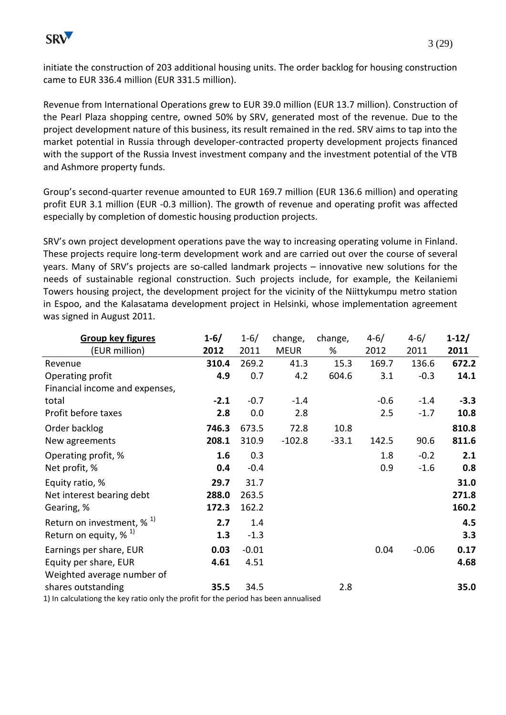

initiate the construction of 203 additional housing units. The order backlog for housing construction came to EUR 336.4 million (EUR 331.5 million).

Revenue from International Operations grew to EUR 39.0 million (EUR 13.7 million). Construction of the Pearl Plaza shopping centre, owned 50% by SRV, generated most of the revenue. Due to the project development nature of this business, its result remained in the red. SRV aims to tap into the market potential in Russia through developer-contracted property development projects financed with the support of the Russia Invest investment company and the investment potential of the VTB and Ashmore property funds.

Group's second-quarter revenue amounted to EUR 169.7 million (EUR 136.6 million) and operating profit EUR 3.1 million (EUR -0.3 million). The growth of revenue and operating profit was affected especially by completion of domestic housing production projects.

SRV's own project development operations pave the way to increasing operating volume in Finland. These projects require long-term development work and are carried out over the course of several years. Many of SRV's projects are so-called landmark projects – innovative new solutions for the needs of sustainable regional construction. Such projects include, for example, the Keilaniemi Towers housing project, the development project for the vicinity of the Niittykumpu metro station in Espoo, and the Kalasatama development project in Helsinki, whose implementation agreement was signed in August 2011.

| <b>Group key figures</b>                                                            | $1 - 6/$ | $1 - 6/$ | change,     | change, | $4 - 6/$ | $4 - 6/$ | $1 - 12/$ |
|-------------------------------------------------------------------------------------|----------|----------|-------------|---------|----------|----------|-----------|
| (EUR million)                                                                       | 2012     | 2011     | <b>MEUR</b> | %       | 2012     | 2011     | 2011      |
| Revenue                                                                             | 310.4    | 269.2    | 41.3        | 15.3    | 169.7    | 136.6    | 672.2     |
| Operating profit                                                                    | 4.9      | 0.7      | 4.2         | 604.6   | 3.1      | $-0.3$   | 14.1      |
| Financial income and expenses,                                                      |          |          |             |         |          |          |           |
| total                                                                               | $-2.1$   | $-0.7$   | $-1.4$      |         | $-0.6$   | $-1.4$   | $-3.3$    |
| Profit before taxes                                                                 | 2.8      | 0.0      | 2.8         |         | 2.5      | $-1.7$   | 10.8      |
| Order backlog                                                                       | 746.3    | 673.5    | 72.8        | 10.8    |          |          | 810.8     |
| New agreements                                                                      | 208.1    | 310.9    | $-102.8$    | $-33.1$ | 142.5    | 90.6     | 811.6     |
| Operating profit, %                                                                 | 1.6      | 0.3      |             |         | 1.8      | $-0.2$   | 2.1       |
| Net profit, %                                                                       | 0.4      | $-0.4$   |             |         | 0.9      | $-1.6$   | 0.8       |
| Equity ratio, %                                                                     | 29.7     | 31.7     |             |         |          |          | 31.0      |
| Net interest bearing debt                                                           | 288.0    | 263.5    |             |         |          |          | 271.8     |
| Gearing, %                                                                          | 172.3    | 162.2    |             |         |          |          | 160.2     |
| Return on investment, $\%$ <sup>1)</sup>                                            | 2.7      | 1.4      |             |         |          |          | 4.5       |
| Return on equity, $\%$ <sup>1)</sup>                                                | 1.3      | $-1.3$   |             |         |          |          | 3.3       |
| Earnings per share, EUR                                                             | 0.03     | $-0.01$  |             |         | 0.04     | $-0.06$  | 0.17      |
| Equity per share, EUR                                                               | 4.61     | 4.51     |             |         |          |          | 4.68      |
| Weighted average number of                                                          |          |          |             |         |          |          |           |
| shares outstanding                                                                  | 35.5     | 34.5     |             | 2.8     |          |          | 35.0      |
| 1) In calculationg the key ratio only the profit for the period has been annualised |          |          |             |         |          |          |           |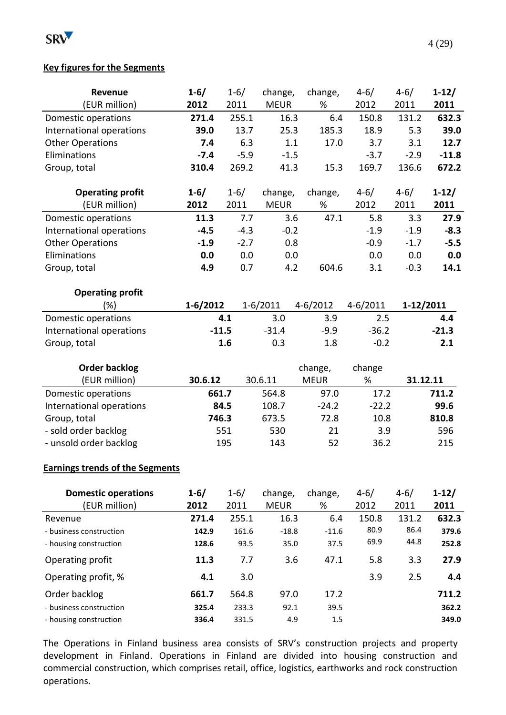

# **Key figures for the Segments**

| Revenue                  | $1 - 6/$   | $1 - 6/$ | change,      | change,      | $4 - 6/$     | $4 - 6/$  | $1 - 12/$ |
|--------------------------|------------|----------|--------------|--------------|--------------|-----------|-----------|
| (EUR million)            | 2012       | 2011     | <b>MEUR</b>  | %            | 2012         | 2011      | 2011      |
| Domestic operations      | 271.4      | 255.1    | 16.3         | 6.4          | 150.8        | 131.2     | 632.3     |
| International operations | 39.0       | 13.7     | 25.3         | 185.3        | 18.9         | 5.3       | 39.0      |
| <b>Other Operations</b>  | 7.4        | 6.3      | 1.1          | 17.0         | 3.7          | 3.1       | 12.7      |
| Eliminations             | $-7.4$     | $-5.9$   | $-1.5$       |              | $-3.7$       | $-2.9$    | $-11.8$   |
| Group, total             | 310.4      | 269.2    | 41.3         | 15.3         | 169.7        | 136.6     | 672.2     |
|                          |            |          |              |              |              |           |           |
| <b>Operating profit</b>  | $1 - 6/$   | $1 - 6/$ | change,      | change,      | $4 - 6/$     | $4 - 6/$  | $1 - 12/$ |
| (EUR million)            | 2012       | 2011     | <b>MEUR</b>  | %            | 2012         | 2011      | 2011      |
| Domestic operations      | 11.3       | 7.7      | 3.6          | 47.1         | 5.8          | 3.3       | 27.9      |
| International operations | $-4.5$     | $-4.3$   | $-0.2$       |              | $-1.9$       | $-1.9$    | $-8.3$    |
| <b>Other Operations</b>  | $-1.9$     | $-2.7$   | 0.8          |              | $-0.9$       | $-1.7$    | $-5.5$    |
| Eliminations             | 0.0        | 0.0      | 0.0          |              | 0.0          | 0.0       | 0.0       |
| Group, total             | 4.9        | 0.7      | 4.2          | 604.6        | 3.1          | $-0.3$    | 14.1      |
| <b>Operating profit</b>  |            |          |              |              |              |           |           |
| (%)                      | $1-6/2012$ |          | $1 - 6/2011$ | $4 - 6/2012$ | $4 - 6/2011$ | 1-12/2011 |           |
| Domestic operations      |            | 4.1      | 3.0          | 3.9          | 2.5          |           | 4.4       |
| International operations | $-11.5$    |          | $-31.4$      | $-9.9$       | $-36.2$      |           | $-21.3$   |
| Group, total             |            | 1.6      | 0.3          | 1.8          | $-0.2$       |           | 2.1       |
| <b>Order backlog</b>     |            |          |              | change,      | change       |           |           |
| (EUR million)            | 30.6.12    |          | 30.6.11      | <b>MEUR</b>  | %            | 31.12.11  |           |
| Domestic operations      | 661.7      |          | 564.8        | 97.0         | 17.2         |           | 711.2     |
| International operations |            | 84.5     | 108.7        | $-24.2$      | $-22.2$      |           | 99.6      |
| Group, total             | 746.3      |          | 673.5        | 72.8         | 10.8         |           | 810.8     |
| - sold order backlog     |            | 551      | 530          | 21           | 3.9          |           | 596       |
| - unsold order backlog   |            | 195      | 143          | 52           | 36.2         |           | 215       |
|                          |            |          |              |              |              |           |           |

#### **Earnings trends of the Segments**

| <b>Domestic operations</b> | $1 - 6/$ | $1 - 6/$ | change,     | change, | $4 - 6/$ | $4 - 6/$ | $1 - 12/$ |
|----------------------------|----------|----------|-------------|---------|----------|----------|-----------|
| (EUR million)              | 2012     | 2011     | <b>MEUR</b> | %       | 2012     | 2011     | 2011      |
| Revenue                    | 271.4    | 255.1    | 16.3        | 6.4     | 150.8    | 131.2    | 632.3     |
| - business construction    | 142.9    | 161.6    | $-18.8$     | $-11.6$ | 80.9     | 86.4     | 379.6     |
| - housing construction     | 128.6    | 93.5     | 35.0        | 37.5    | 69.9     | 44.8     | 252.8     |
| Operating profit           | 11.3     | 7.7      | 3.6         | 47.1    | 5.8      | 3.3      | 27.9      |
| Operating profit, %        | 4.1      | 3.0      |             |         | 3.9      | 2.5      | 4.4       |
| Order backlog              | 661.7    | 564.8    | 97.0        | 17.2    |          |          | 711.2     |
| - business construction    | 325.4    | 233.3    | 92.1        | 39.5    |          |          | 362.2     |
| - housing construction     | 336.4    | 331.5    | 4.9         | 1.5     |          |          | 349.0     |

The Operations in Finland business area consists of SRV's construction projects and property development in Finland. Operations in Finland are divided into housing construction and commercial construction, which comprises retail, office, logistics, earthworks and rock construction operations.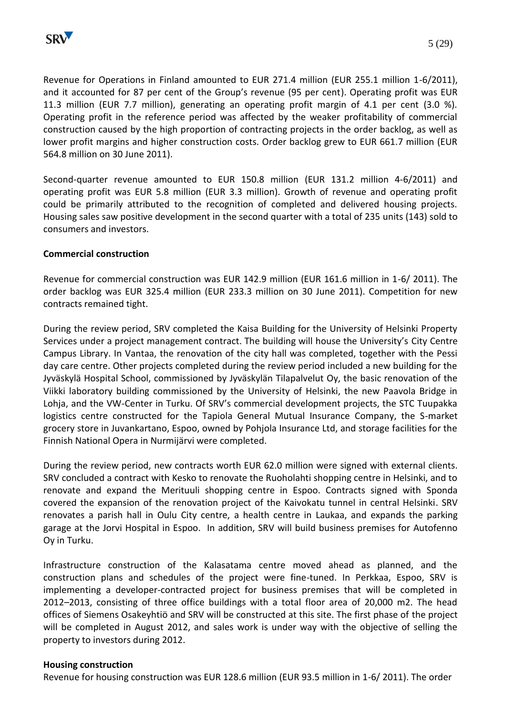

Revenue for Operations in Finland amounted to EUR 271.4 million (EUR 255.1 million 1-6/2011), and it accounted for 87 per cent of the Group's revenue (95 per cent). Operating profit was EUR 11.3 million (EUR 7.7 million), generating an operating profit margin of 4.1 per cent (3.0 %). Operating profit in the reference period was affected by the weaker profitability of commercial construction caused by the high proportion of contracting projects in the order backlog, as well as lower profit margins and higher construction costs. Order backlog grew to EUR 661.7 million (EUR 564.8 million on 30 June 2011).

Second-quarter revenue amounted to EUR 150.8 million (EUR 131.2 million 4-6/2011) and operating profit was EUR 5.8 million (EUR 3.3 million). Growth of revenue and operating profit could be primarily attributed to the recognition of completed and delivered housing projects. Housing sales saw positive development in the second quarter with a total of 235 units (143) sold to consumers and investors.

## **Commercial construction**

Revenue for commercial construction was EUR 142.9 million (EUR 161.6 million in 1-6/ 2011). The order backlog was EUR 325.4 million (EUR 233.3 million on 30 June 2011). Competition for new contracts remained tight.

During the review period, SRV completed the Kaisa Building for the University of Helsinki Property Services under a project management contract. The building will house the University's City Centre Campus Library. In Vantaa, the renovation of the city hall was completed, together with the Pessi day care centre. Other projects completed during the review period included a new building for the Jyväskylä Hospital School, commissioned by Jyväskylän Tilapalvelut Oy, the basic renovation of the Viikki laboratory building commissioned by the University of Helsinki, the new Paavola Bridge in Lohja, and the VW-Center in Turku. Of SRV's commercial development projects, the STC Tuupakka logistics centre constructed for the Tapiola General Mutual Insurance Company, the S-market grocery store in Juvankartano, Espoo, owned by Pohjola Insurance Ltd, and storage facilities for the Finnish National Opera in Nurmijärvi were completed.

During the review period, new contracts worth EUR 62.0 million were signed with external clients. SRV concluded a contract with Kesko to renovate the Ruoholahti shopping centre in Helsinki, and to renovate and expand the Merituuli shopping centre in Espoo. Contracts signed with Sponda covered the expansion of the renovation project of the Kaivokatu tunnel in central Helsinki. SRV renovates a parish hall in Oulu City centre, a health centre in Laukaa, and expands the parking garage at the Jorvi Hospital in Espoo. In addition, SRV will build business premises for Autofenno Oy in Turku.

Infrastructure construction of the Kalasatama centre moved ahead as planned, and the construction plans and schedules of the project were fine-tuned. In Perkkaa, Espoo, SRV is implementing a developer-contracted project for business premises that will be completed in 2012–2013, consisting of three office buildings with a total floor area of 20,000 m2. The head offices of Siemens Osakeyhtiö and SRV will be constructed at this site. The first phase of the project will be completed in August 2012, and sales work is under way with the objective of selling the property to investors during 2012.

#### **Housing construction**

Revenue for housing construction was EUR 128.6 million (EUR 93.5 million in 1-6/ 2011). The order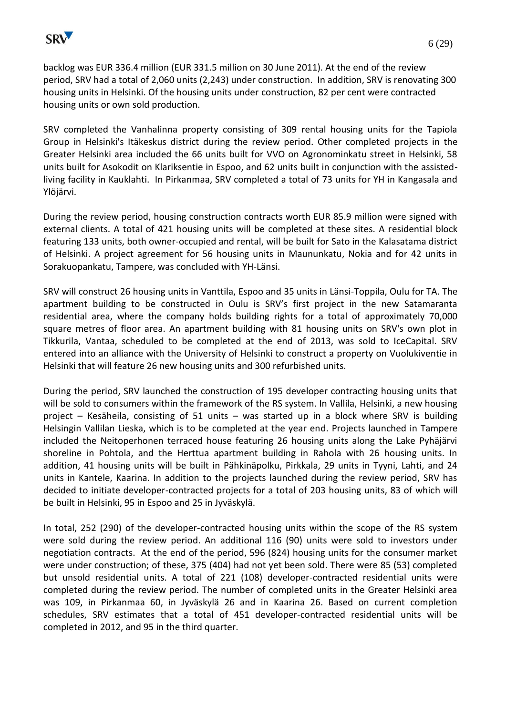

backlog was EUR 336.4 million (EUR 331.5 million on 30 June 2011). At the end of the review period, SRV had a total of 2,060 units (2,243) under construction. In addition, SRV is renovating 300 housing units in Helsinki. Of the housing units under construction, 82 per cent were contracted housing units or own sold production.

SRV completed the Vanhalinna property consisting of 309 rental housing units for the Tapiola Group in Helsinki's Itäkeskus district during the review period. Other completed projects in the Greater Helsinki area included the 66 units built for VVO on Agronominkatu street in Helsinki, 58 units built for Asokodit on Klariksentie in Espoo, and 62 units built in conjunction with the assistedliving facility in Kauklahti. In Pirkanmaa, SRV completed a total of 73 units for YH in Kangasala and Ylöjärvi.

During the review period, housing construction contracts worth EUR 85.9 million were signed with external clients. A total of 421 housing units will be completed at these sites. A residential block featuring 133 units, both owner-occupied and rental, will be built for Sato in the Kalasatama district of Helsinki. A project agreement for 56 housing units in Maununkatu, Nokia and for 42 units in Sorakuopankatu, Tampere, was concluded with YH-Länsi.

SRV will construct 26 housing units in Vanttila, Espoo and 35 units in Länsi-Toppila, Oulu for TA. The apartment building to be constructed in Oulu is SRV's first project in the new Satamaranta residential area, where the company holds building rights for a total of approximately 70,000 square metres of floor area. An apartment building with 81 housing units on SRV's own plot in Tikkurila, Vantaa, scheduled to be completed at the end of 2013, was sold to IceCapital. SRV entered into an alliance with the University of Helsinki to construct a property on Vuolukiventie in Helsinki that will feature 26 new housing units and 300 refurbished units.

During the period, SRV launched the construction of 195 developer contracting housing units that will be sold to consumers within the framework of the RS system. In Vallila, Helsinki, a new housing project – Kesäheila, consisting of 51 units – was started up in a block where SRV is building Helsingin Vallilan Lieska, which is to be completed at the year end. Projects launched in Tampere included the Neitoperhonen terraced house featuring 26 housing units along the Lake Pyhäjärvi shoreline in Pohtola, and the Herttua apartment building in Rahola with 26 housing units. In addition, 41 housing units will be built in Pähkinäpolku, Pirkkala, 29 units in Tyyni, Lahti, and 24 units in Kantele, Kaarina. In addition to the projects launched during the review period, SRV has decided to initiate developer-contracted projects for a total of 203 housing units, 83 of which will be built in Helsinki, 95 in Espoo and 25 in Jyväskylä.

In total, 252 (290) of the developer-contracted housing units within the scope of the RS system were sold during the review period. An additional 116 (90) units were sold to investors under negotiation contracts. At the end of the period, 596 (824) housing units for the consumer market were under construction; of these, 375 (404) had not yet been sold. There were 85 (53) completed but unsold residential units. A total of 221 (108) developer-contracted residential units were completed during the review period. The number of completed units in the Greater Helsinki area was 109, in Pirkanmaa 60, in Jyväskylä 26 and in Kaarina 26. Based on current completion schedules, SRV estimates that a total of 451 developer-contracted residential units will be completed in 2012, and 95 in the third quarter.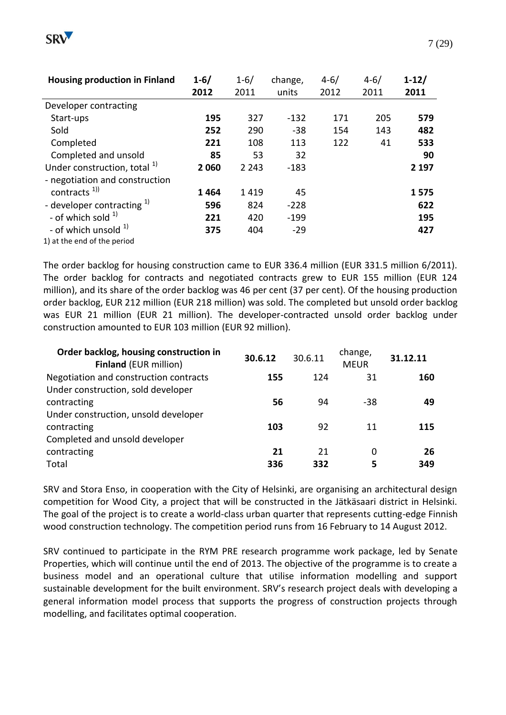

| <b>Housing production in Finland</b>    | $1 - 6/$ | $1 - 6/$ | change, | $4 - 6/$ | $4 - 6/$ | $1 - 12/$ |
|-----------------------------------------|----------|----------|---------|----------|----------|-----------|
|                                         | 2012     | 2011     | units   | 2012     | 2011     | 2011      |
| Developer contracting                   |          |          |         |          |          |           |
| Start-ups                               | 195      | 327      | $-132$  | 171      | 205      | 579       |
| Sold                                    | 252      | 290      | $-38$   | 154      | 143      | 482       |
| Completed                               | 221      | 108      | 113     | 122      | 41       | 533       |
| Completed and unsold                    | 85       | 53       | 32      |          |          | 90        |
| Under construction, total <sup>1)</sup> | 2060     | 2 2 4 3  | $-183$  |          |          | 2 1 9 7   |
| - negotiation and construction          |          |          |         |          |          |           |
| contracts $1)$                          | 1464     | 1419     | 45      |          |          | 1575      |
| - developer contracting <sup>1)</sup>   | 596      | 824      | $-228$  |          |          | 622       |
| - of which sold $1$                     | 221      | 420      | $-199$  |          |          | 195       |
| - of which unsold <sup>1)</sup>         | 375      | 404      | $-29$   |          |          | 427       |
| 1) at the end of the period             |          |          |         |          |          |           |

The order backlog for housing construction came to EUR 336.4 million (EUR 331.5 million 6/2011). The order backlog for contracts and negotiated contracts grew to EUR 155 million (EUR 124 million), and its share of the order backlog was 46 per cent (37 per cent). Of the housing production order backlog, EUR 212 million (EUR 218 million) was sold. The completed but unsold order backlog was EUR 21 million (EUR 21 million). The developer-contracted unsold order backlog under construction amounted to EUR 103 million (EUR 92 million).

| Order backlog, housing construction in<br><b>Finland (EUR million)</b> | 30.6.12 | 30.6.11 | change,<br><b>MEUR</b> | 31.12.11 |
|------------------------------------------------------------------------|---------|---------|------------------------|----------|
| Negotiation and construction contracts                                 | 155     | 124     | 31                     | 160      |
| Under construction, sold developer                                     |         |         |                        |          |
| contracting                                                            | 56      | 94      | -38                    | 49       |
| Under construction, unsold developer                                   |         |         |                        |          |
| contracting                                                            | 103     | 92      | 11                     | 115      |
| Completed and unsold developer                                         |         |         |                        |          |
| contracting                                                            | 21      | 21      | 0                      | 26       |
| Total                                                                  | 336     | 332     | 5                      | 349      |

SRV and Stora Enso, in cooperation with the City of Helsinki, are organising an architectural design competition for Wood City, a project that will be constructed in the Jätkäsaari district in Helsinki. The goal of the project is to create a world-class urban quarter that represents cutting-edge Finnish wood construction technology. The competition period runs from 16 February to 14 August 2012.

SRV continued to participate in the RYM PRE research programme work package, led by Senate Properties, which will continue until the end of 2013. The objective of the programme is to create a business model and an operational culture that utilise information modelling and support sustainable development for the built environment. SRV's research project deals with developing a general information model process that supports the progress of construction projects through modelling, and facilitates optimal cooperation.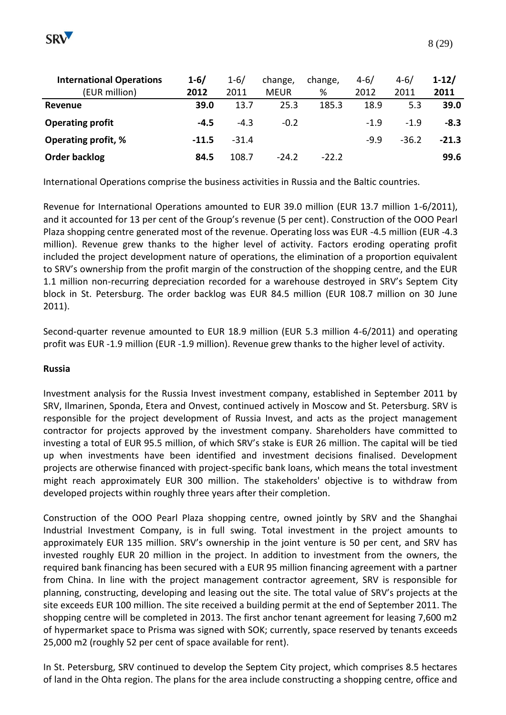

| <b>International Operations</b> | $1 - 6/$ | $1 - 6/$ | change,     | change, | $4 - 6/$ | $4 - 6/$ | $1-12/$ |
|---------------------------------|----------|----------|-------------|---------|----------|----------|---------|
| (EUR million)                   | 2012     | 2011     | <b>MEUR</b> | %       | 2012     | 2011     | 2011    |
| Revenue                         | 39.0     | 13.7     | 25.3        | 185.3   | 18.9     | 5.3      | 39.0    |
| <b>Operating profit</b>         | $-4.5$   | $-4.3$   | $-0.2$      |         | $-1.9$   | $-1.9$   | $-8.3$  |
| <b>Operating profit, %</b>      | $-11.5$  | $-31.4$  |             |         | $-9.9$   | $-36.2$  | $-21.3$ |
| Order backlog                   | 84.5     | 108.7    | $-24.2$     | $-22.2$ |          |          | 99.6    |

International Operations comprise the business activities in Russia and the Baltic countries.

Revenue for International Operations amounted to EUR 39.0 million (EUR 13.7 million 1-6/2011), and it accounted for 13 per cent of the Group's revenue (5 per cent). Construction of the OOO Pearl Plaza shopping centre generated most of the revenue. Operating loss was EUR -4.5 million (EUR -4.3 million). Revenue grew thanks to the higher level of activity. Factors eroding operating profit included the project development nature of operations, the elimination of a proportion equivalent to SRV's ownership from the profit margin of the construction of the shopping centre, and the EUR 1.1 million non-recurring depreciation recorded for a warehouse destroyed in SRV's Septem City block in St. Petersburg. The order backlog was EUR 84.5 million (EUR 108.7 million on 30 June 2011).

Second-quarter revenue amounted to EUR 18.9 million (EUR 5.3 million 4-6/2011) and operating profit was EUR -1.9 million (EUR -1.9 million). Revenue grew thanks to the higher level of activity.

#### **Russia**

Investment analysis for the Russia Invest investment company, established in September 2011 by SRV, Ilmarinen, Sponda, Etera and Onvest, continued actively in Moscow and St. Petersburg. SRV is responsible for the project development of Russia Invest, and acts as the project management contractor for projects approved by the investment company. Shareholders have committed to investing a total of EUR 95.5 million, of which SRV's stake is EUR 26 million. The capital will be tied up when investments have been identified and investment decisions finalised. Development projects are otherwise financed with project-specific bank loans, which means the total investment might reach approximately EUR 300 million. The stakeholders' objective is to withdraw from developed projects within roughly three years after their completion.

Construction of the OOO Pearl Plaza shopping centre, owned jointly by SRV and the Shanghai Industrial Investment Company, is in full swing. Total investment in the project amounts to approximately EUR 135 million. SRV's ownership in the joint venture is 50 per cent, and SRV has invested roughly EUR 20 million in the project. In addition to investment from the owners, the required bank financing has been secured with a EUR 95 million financing agreement with a partner from China. In line with the project management contractor agreement, SRV is responsible for planning, constructing, developing and leasing out the site. The total value of SRV's projects at the site exceeds EUR 100 million. The site received a building permit at the end of September 2011. The shopping centre will be completed in 2013. The first anchor tenant agreement for leasing 7,600 m2 of hypermarket space to Prisma was signed with SOK; currently, space reserved by tenants exceeds 25,000 m2 (roughly 52 per cent of space available for rent).

In St. Petersburg, SRV continued to develop the Septem City project, which comprises 8.5 hectares of land in the Ohta region. The plans for the area include constructing a shopping centre, office and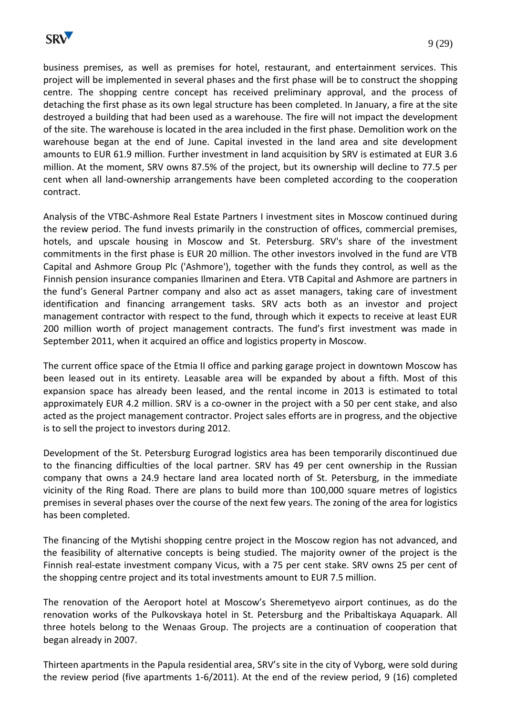

business premises, as well as premises for hotel, restaurant, and entertainment services. This project will be implemented in several phases and the first phase will be to construct the shopping centre. The shopping centre concept has received preliminary approval, and the process of detaching the first phase as its own legal structure has been completed. In January, a fire at the site destroyed a building that had been used as a warehouse. The fire will not impact the development of the site. The warehouse is located in the area included in the first phase. Demolition work on the warehouse began at the end of June. Capital invested in the land area and site development amounts to EUR 61.9 million. Further investment in land acquisition by SRV is estimated at EUR 3.6 million. At the moment, SRV owns 87.5% of the project, but its ownership will decline to 77.5 per cent when all land-ownership arrangements have been completed according to the cooperation contract.

Analysis of the VTBC-Ashmore Real Estate Partners I investment sites in Moscow continued during the review period. The fund invests primarily in the construction of offices, commercial premises, hotels, and upscale housing in Moscow and St. Petersburg. SRV's share of the investment commitments in the first phase is EUR 20 million. The other investors involved in the fund are VTB Capital and Ashmore Group Plc ('Ashmore'), together with the funds they control, as well as the Finnish pension insurance companies Ilmarinen and Etera. VTB Capital and Ashmore are partners in the fund's General Partner company and also act as asset managers, taking care of investment identification and financing arrangement tasks. SRV acts both as an investor and project management contractor with respect to the fund, through which it expects to receive at least EUR 200 million worth of project management contracts. The fund's first investment was made in September 2011, when it acquired an office and logistics property in Moscow.

The current office space of the Etmia II office and parking garage project in downtown Moscow has been leased out in its entirety. Leasable area will be expanded by about a fifth. Most of this expansion space has already been leased, and the rental income in 2013 is estimated to total approximately EUR 4.2 million. SRV is a co-owner in the project with a 50 per cent stake, and also acted as the project management contractor. Project sales efforts are in progress, and the objective is to sell the project to investors during 2012.

Development of the St. Petersburg Eurograd logistics area has been temporarily discontinued due to the financing difficulties of the local partner. SRV has 49 per cent ownership in the Russian company that owns a 24.9 hectare land area located north of St. Petersburg, in the immediate vicinity of the Ring Road. There are plans to build more than 100,000 square metres of logistics premises in several phases over the course of the next few years. The zoning of the area for logistics has been completed.

The financing of the Mytishi shopping centre project in the Moscow region has not advanced, and the feasibility of alternative concepts is being studied. The majority owner of the project is the Finnish real-estate investment company Vicus, with a 75 per cent stake. SRV owns 25 per cent of the shopping centre project and its total investments amount to EUR 7.5 million.

The renovation of the Aeroport hotel at Moscow's Sheremetyevo airport continues, as do the renovation works of the Pulkovskaya hotel in St. Petersburg and the Pribaltiskaya Aquapark. All three hotels belong to the Wenaas Group. The projects are a continuation of cooperation that began already in 2007.

Thirteen apartments in the Papula residential area, SRV's site in the city of Vyborg, were sold during the review period (five apartments 1-6/2011). At the end of the review period, 9 (16) completed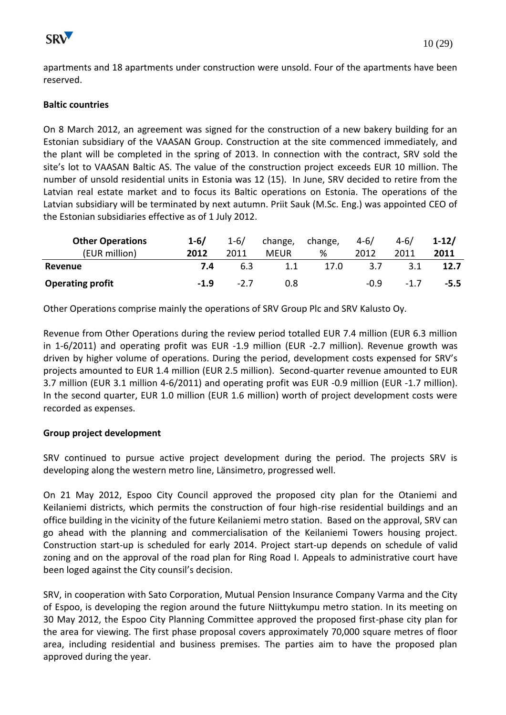apartments and 18 apartments under construction were unsold. Four of the apartments have been reserved.

# **Baltic countries**

On 8 March 2012, an agreement was signed for the construction of a new bakery building for an Estonian subsidiary of the VAASAN Group. Construction at the site commenced immediately, and the plant will be completed in the spring of 2013. In connection with the contract, SRV sold the site's lot to VAASAN Baltic AS. The value of the construction project exceeds EUR 10 million. The number of unsold residential units in Estonia was 12 (15). In June, SRV decided to retire from the Latvian real estate market and to focus its Baltic operations on Estonia. The operations of the Latvian subsidiary will be terminated by next autumn. Priit Sauk (M.Sc. Eng.) was appointed CEO of the Estonian subsidiaries effective as of 1 July 2012.

| <b>Other Operations</b> | $1 - 6/$ | $1 - 6/$ | change,     | change, | $4 - 6/$ | $4 - 6/$ | $1-12/$ |
|-------------------------|----------|----------|-------------|---------|----------|----------|---------|
| (EUR million)           | 2012     | 2011     | <b>MEUR</b> | %       | 2012     | 2011     | 2011    |
| Revenue                 | 7.4      | 6.3      | 1.1         | 17.0    | 3.7      |          | 12.7    |
| <b>Operating profit</b> | $-1.9$   | $-2.7$   | 0.8         |         | $-0.9$   | $-1.7$   | $-5.5$  |

Other Operations comprise mainly the operations of SRV Group Plc and SRV Kalusto Oy.

Revenue from Other Operations during the review period totalled EUR 7.4 million (EUR 6.3 million in 1-6/2011) and operating profit was EUR -1.9 million (EUR -2.7 million). Revenue growth was driven by higher volume of operations. During the period, development costs expensed for SRV's projects amounted to EUR 1.4 million (EUR 2.5 million). Second-quarter revenue amounted to EUR 3.7 million (EUR 3.1 million 4-6/2011) and operating profit was EUR -0.9 million (EUR -1.7 million). In the second quarter, EUR 1.0 million (EUR 1.6 million) worth of project development costs were recorded as expenses.

# **Group project development**

SRV continued to pursue active project development during the period. The projects SRV is developing along the western metro line, Länsimetro, progressed well.

On 21 May 2012, Espoo City Council approved the proposed city plan for the Otaniemi and Keilaniemi districts, which permits the construction of four high-rise residential buildings and an office building in the vicinity of the future Keilaniemi metro station. Based on the approval, SRV can go ahead with the planning and commercialisation of the Keilaniemi Towers housing project. Construction start-up is scheduled for early 2014. Project start-up depends on schedule of valid zoning and on the approval of the road plan for Ring Road I. Appeals to administrative court have been loged against the City counsil's decision.

SRV, in cooperation with Sato Corporation, Mutual Pension Insurance Company Varma and the City of Espoo, is developing the region around the future Niittykumpu metro station. In its meeting on 30 May 2012, the Espoo City Planning Committee approved the proposed first-phase city plan for the area for viewing. The first phase proposal covers approximately 70,000 square metres of floor area, including residential and business premises. The parties aim to have the proposed plan approved during the year.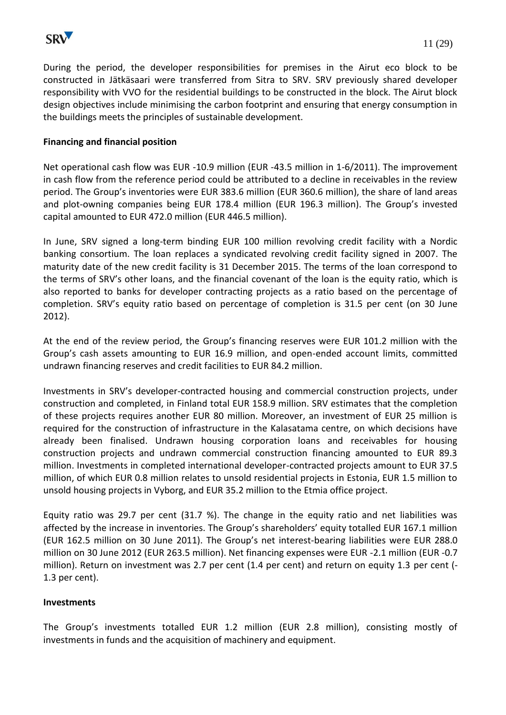

During the period, the developer responsibilities for premises in the Airut eco block to be constructed in Jätkäsaari were transferred from Sitra to SRV. SRV previously shared developer responsibility with VVO for the residential buildings to be constructed in the block. The Airut block design objectives include minimising the carbon footprint and ensuring that energy consumption in the buildings meets the principles of sustainable development.

## **Financing and financial position**

Net operational cash flow was EUR -10.9 million (EUR -43.5 million in 1-6/2011). The improvement in cash flow from the reference period could be attributed to a decline in receivables in the review period. The Group's inventories were EUR 383.6 million (EUR 360.6 million), the share of land areas and plot-owning companies being EUR 178.4 million (EUR 196.3 million). The Group's invested capital amounted to EUR 472.0 million (EUR 446.5 million).

In June, SRV signed a long-term binding EUR 100 million revolving credit facility with a Nordic banking consortium. The loan replaces a syndicated revolving credit facility signed in 2007. The maturity date of the new credit facility is 31 December 2015. The terms of the loan correspond to the terms of SRV's other loans, and the financial covenant of the loan is the equity ratio, which is also reported to banks for developer contracting projects as a ratio based on the percentage of completion. SRV's equity ratio based on percentage of completion is 31.5 per cent (on 30 June 2012).

At the end of the review period, the Group's financing reserves were EUR 101.2 million with the Group's cash assets amounting to EUR 16.9 million, and open-ended account limits, committed undrawn financing reserves and credit facilities to EUR 84.2 million.

Investments in SRV's developer-contracted housing and commercial construction projects, under construction and completed, in Finland total EUR 158.9 million. SRV estimates that the completion of these projects requires another EUR 80 million. Moreover, an investment of EUR 25 million is required for the construction of infrastructure in the Kalasatama centre, on which decisions have already been finalised. Undrawn housing corporation loans and receivables for housing construction projects and undrawn commercial construction financing amounted to EUR 89.3 million. Investments in completed international developer-contracted projects amount to EUR 37.5 million, of which EUR 0.8 million relates to unsold residential projects in Estonia, EUR 1.5 million to unsold housing projects in Vyborg, and EUR 35.2 million to the Etmia office project.

Equity ratio was 29.7 per cent (31.7 %). The change in the equity ratio and net liabilities was affected by the increase in inventories. The Group's shareholders' equity totalled EUR 167.1 million (EUR 162.5 million on 30 June 2011). The Group's net interest-bearing liabilities were EUR 288.0 million on 30 June 2012 (EUR 263.5 million). Net financing expenses were EUR -2.1 million (EUR -0.7 million). Return on investment was 2.7 per cent (1.4 per cent) and return on equity 1.3 per cent (- 1.3 per cent).

#### **Investments**

The Group's investments totalled EUR 1.2 million (EUR 2.8 million), consisting mostly of investments in funds and the acquisition of machinery and equipment.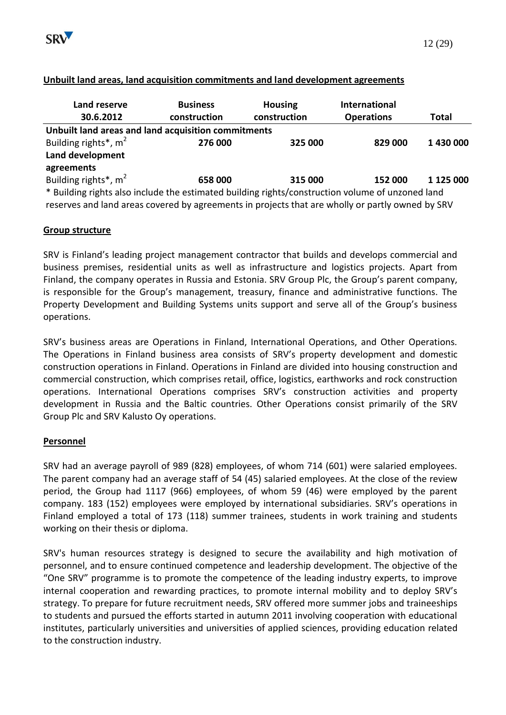

| Land reserve                                                                                     | <b>Business</b> | <b>Housing</b> | International     |              |
|--------------------------------------------------------------------------------------------------|-----------------|----------------|-------------------|--------------|
| 30.6.2012                                                                                        | construction    | construction   | <b>Operations</b> | <b>Total</b> |
| Unbuilt land areas and land acquisition commitments                                              |                 |                |                   |              |
| Building rights*, m <sup>2</sup>                                                                 | 276 000         | 325 000        | 829 000           | 1 430 000    |
| Land development                                                                                 |                 |                |                   |              |
| agreements                                                                                       |                 |                |                   |              |
| Building rights*, $m2$                                                                           | 658 000         | 315 000        | 152 000           | 1 125 000    |
| * Building rights also include the estimated building rights/construction volume of unzoned land |                 |                |                   |              |

#### **Unbuilt land areas, land acquisition commitments and land development agreements**

reserves and land areas covered by agreements in projects that are wholly or partly owned by SRV

## **Group structure**

SRV is Finland's leading project management contractor that builds and develops commercial and business premises, residential units as well as infrastructure and logistics projects. Apart from Finland, the company operates in Russia and Estonia. SRV Group Plc, the Group's parent company, is responsible for the Group's management, treasury, finance and administrative functions. The Property Development and Building Systems units support and serve all of the Group's business operations.

SRV's business areas are Operations in Finland, International Operations, and Other Operations. The Operations in Finland business area consists of SRV's property development and domestic construction operations in Finland. Operations in Finland are divided into housing construction and commercial construction, which comprises retail, office, logistics, earthworks and rock construction operations. International Operations comprises SRV's construction activities and property development in Russia and the Baltic countries. Other Operations consist primarily of the SRV Group Plc and SRV Kalusto Oy operations.

#### **Personnel**

SRV had an average payroll of 989 (828) employees, of whom 714 (601) were salaried employees. The parent company had an average staff of 54 (45) salaried employees. At the close of the review period, the Group had 1117 (966) employees, of whom 59 (46) were employed by the parent company. 183 (152) employees were employed by international subsidiaries. SRV's operations in Finland employed a total of 173 (118) summer trainees, students in work training and students working on their thesis or diploma.

SRV's human resources strategy is designed to secure the availability and high motivation of personnel, and to ensure continued competence and leadership development. The objective of the "One SRV" programme is to promote the competence of the leading industry experts, to improve internal cooperation and rewarding practices, to promote internal mobility and to deploy SRV's strategy. To prepare for future recruitment needs, SRV offered more summer jobs and traineeships to students and pursued the efforts started in autumn 2011 involving cooperation with educational institutes, particularly universities and universities of applied sciences, providing education related to the construction industry.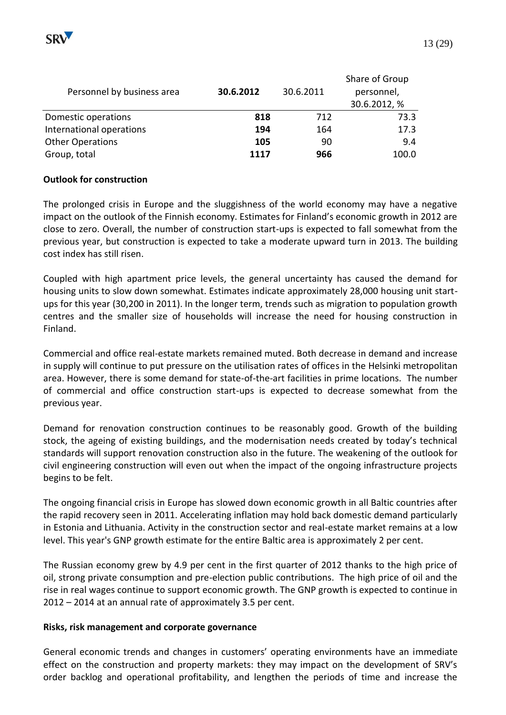

| Personnel by business area | 30.6.2012 | 30.6.2011 | Share of Group<br>personnel,<br>30.6.2012, % |
|----------------------------|-----------|-----------|----------------------------------------------|
| Domestic operations        | 818       | 712       | 73.3                                         |
| International operations   | 194       | 164       | 17.3                                         |
| <b>Other Operations</b>    | 105       | 90        | 9.4                                          |
| Group, total               | 1117      | 966       | 100.0                                        |

## **Outlook for construction**

The prolonged crisis in Europe and the sluggishness of the world economy may have a negative impact on the outlook of the Finnish economy. Estimates for Finland's economic growth in 2012 are close to zero. Overall, the number of construction start-ups is expected to fall somewhat from the previous year, but construction is expected to take a moderate upward turn in 2013. The building cost index has still risen.

Coupled with high apartment price levels, the general uncertainty has caused the demand for housing units to slow down somewhat. Estimates indicate approximately 28,000 housing unit startups for this year (30,200 in 2011). In the longer term, trends such as migration to population growth centres and the smaller size of households will increase the need for housing construction in Finland.

Commercial and office real-estate markets remained muted. Both decrease in demand and increase in supply will continue to put pressure on the utilisation rates of offices in the Helsinki metropolitan area. However, there is some demand for state-of-the-art facilities in prime locations. The number of commercial and office construction start-ups is expected to decrease somewhat from the previous year.

Demand for renovation construction continues to be reasonably good. Growth of the building stock, the ageing of existing buildings, and the modernisation needs created by today's technical standards will support renovation construction also in the future. The weakening of the outlook for civil engineering construction will even out when the impact of the ongoing infrastructure projects begins to be felt.

The ongoing financial crisis in Europe has slowed down economic growth in all Baltic countries after the rapid recovery seen in 2011. Accelerating inflation may hold back domestic demand particularly in Estonia and Lithuania. Activity in the construction sector and real-estate market remains at a low level. This year's GNP growth estimate for the entire Baltic area is approximately 2 per cent.

The Russian economy grew by 4.9 per cent in the first quarter of 2012 thanks to the high price of oil, strong private consumption and pre-election public contributions. The high price of oil and the rise in real wages continue to support economic growth. The GNP growth is expected to continue in 2012 – 2014 at an annual rate of approximately 3.5 per cent.

#### **Risks, risk management and corporate governance**

General economic trends and changes in customers' operating environments have an immediate effect on the construction and property markets: they may impact on the development of SRV's order backlog and operational profitability, and lengthen the periods of time and increase the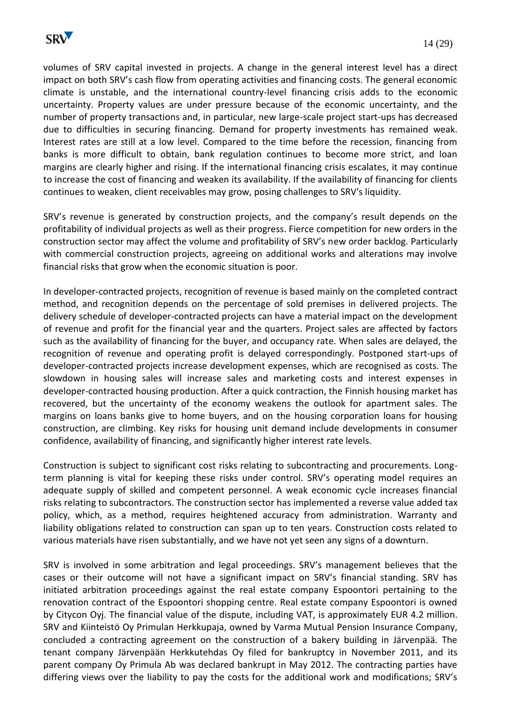

volumes of SRV capital invested in projects. A change in the general interest level has a direct impact on both SRV's cash flow from operating activities and financing costs. The general economic climate is unstable, and the international country-level financing crisis adds to the economic uncertainty. Property values are under pressure because of the economic uncertainty, and the number of property transactions and, in particular, new large-scale project start-ups has decreased due to difficulties in securing financing. Demand for property investments has remained weak. Interest rates are still at a low level. Compared to the time before the recession, financing from banks is more difficult to obtain, bank regulation continues to become more strict, and loan margins are clearly higher and rising. If the international financing crisis escalates, it may continue to increase the cost of financing and weaken its availability. If the availability of financing for clients continues to weaken, client receivables may grow, posing challenges to SRV's liquidity.

SRV's revenue is generated by construction projects, and the company's result depends on the profitability of individual projects as well as their progress. Fierce competition for new orders in the construction sector may affect the volume and profitability of SRV's new order backlog. Particularly with commercial construction projects, agreeing on additional works and alterations may involve financial risks that grow when the economic situation is poor.

In developer-contracted projects, recognition of revenue is based mainly on the completed contract method, and recognition depends on the percentage of sold premises in delivered projects. The delivery schedule of developer-contracted projects can have a material impact on the development of revenue and profit for the financial year and the quarters. Project sales are affected by factors such as the availability of financing for the buyer, and occupancy rate. When sales are delayed, the recognition of revenue and operating profit is delayed correspondingly. Postponed start-ups of developer-contracted projects increase development expenses, which are recognised as costs. The slowdown in housing sales will increase sales and marketing costs and interest expenses in developer-contracted housing production. After a quick contraction, the Finnish housing market has recovered, but the uncertainty of the economy weakens the outlook for apartment sales. The margins on loans banks give to home buyers, and on the housing corporation loans for housing construction, are climbing. Key risks for housing unit demand include developments in consumer confidence, availability of financing, and significantly higher interest rate levels.

Construction is subject to significant cost risks relating to subcontracting and procurements. Longterm planning is vital for keeping these risks under control. SRV's operating model requires an adequate supply of skilled and competent personnel. A weak economic cycle increases financial risks relating to subcontractors. The construction sector has implemented a reverse value added tax policy, which, as a method, requires heightened accuracy from administration. Warranty and liability obligations related to construction can span up to ten years. Construction costs related to various materials have risen substantially, and we have not yet seen any signs of a downturn.

SRV is involved in some arbitration and legal proceedings. SRV's management believes that the cases or their outcome will not have a significant impact on SRV's financial standing. SRV has initiated arbitration proceedings against the real estate company Espoontori pertaining to the renovation contract of the Espoontori shopping centre. Real estate company Espoontori is owned by Citycon Oyj. The financial value of the dispute, including VAT, is approximately EUR 4.2 million. SRV and Kiinteistö Oy Primulan Herkkupaja, owned by Varma Mutual Pension Insurance Company, concluded a contracting agreement on the construction of a bakery building in Järvenpää. The tenant company Järvenpään Herkkutehdas Oy filed for bankruptcy in November 2011, and its parent company Oy Primula Ab was declared bankrupt in May 2012. The contracting parties have differing views over the liability to pay the costs for the additional work and modifications; SRV's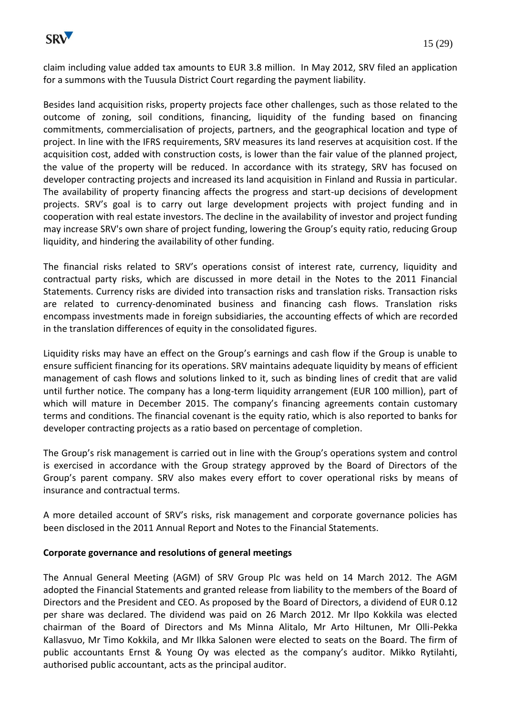

claim including value added tax amounts to EUR 3.8 million. In May 2012, SRV filed an application for a summons with the Tuusula District Court regarding the payment liability.

Besides land acquisition risks, property projects face other challenges, such as those related to the outcome of zoning, soil conditions, financing, liquidity of the funding based on financing commitments, commercialisation of projects, partners, and the geographical location and type of project. In line with the IFRS requirements, SRV measures its land reserves at acquisition cost. If the acquisition cost, added with construction costs, is lower than the fair value of the planned project, the value of the property will be reduced. In accordance with its strategy, SRV has focused on developer contracting projects and increased its land acquisition in Finland and Russia in particular. The availability of property financing affects the progress and start-up decisions of development projects. SRV's goal is to carry out large development projects with project funding and in cooperation with real estate investors. The decline in the availability of investor and project funding may increase SRV's own share of project funding, lowering the Group's equity ratio, reducing Group liquidity, and hindering the availability of other funding.

The financial risks related to SRV's operations consist of interest rate, currency, liquidity and contractual party risks, which are discussed in more detail in the Notes to the 2011 Financial Statements. Currency risks are divided into transaction risks and translation risks. Transaction risks are related to currency-denominated business and financing cash flows. Translation risks encompass investments made in foreign subsidiaries, the accounting effects of which are recorded in the translation differences of equity in the consolidated figures.

Liquidity risks may have an effect on the Group's earnings and cash flow if the Group is unable to ensure sufficient financing for its operations. SRV maintains adequate liquidity by means of efficient management of cash flows and solutions linked to it, such as binding lines of credit that are valid until further notice. The company has a long-term liquidity arrangement (EUR 100 million), part of which will mature in December 2015. The company's financing agreements contain customary terms and conditions. The financial covenant is the equity ratio, which is also reported to banks for developer contracting projects as a ratio based on percentage of completion.

The Group's risk management is carried out in line with the Group's operations system and control is exercised in accordance with the Group strategy approved by the Board of Directors of the Group's parent company. SRV also makes every effort to cover operational risks by means of insurance and contractual terms.

A more detailed account of SRV's risks, risk management and corporate governance policies has been disclosed in the 2011 Annual Report and Notes to the Financial Statements.

# **Corporate governance and resolutions of general meetings**

The Annual General Meeting (AGM) of SRV Group Plc was held on 14 March 2012. The AGM adopted the Financial Statements and granted release from liability to the members of the Board of Directors and the President and CEO. As proposed by the Board of Directors, a dividend of EUR 0.12 per share was declared. The dividend was paid on 26 March 2012. Mr Ilpo Kokkila was elected chairman of the Board of Directors and Ms Minna Alitalo, Mr Arto Hiltunen, Mr Olli-Pekka Kallasvuo, Mr Timo Kokkila, and Mr Ilkka Salonen were elected to seats on the Board. The firm of public accountants Ernst & Young Oy was elected as the company's auditor. Mikko Rytilahti, authorised public accountant, acts as the principal auditor.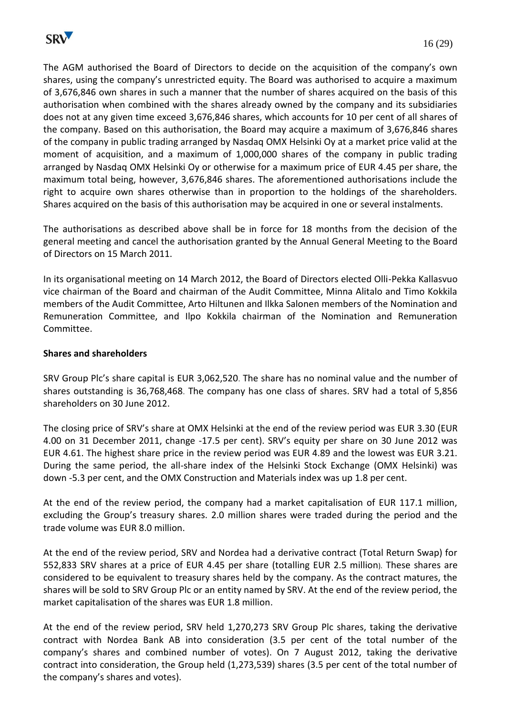

The AGM authorised the Board of Directors to decide on the acquisition of the company's own shares, using the company's unrestricted equity. The Board was authorised to acquire a maximum of 3,676,846 own shares in such a manner that the number of shares acquired on the basis of this authorisation when combined with the shares already owned by the company and its subsidiaries does not at any given time exceed 3,676,846 shares, which accounts for 10 per cent of all shares of the company. Based on this authorisation, the Board may acquire a maximum of 3,676,846 shares of the company in public trading arranged by Nasdaq OMX Helsinki Oy at a market price valid at the moment of acquisition, and a maximum of 1,000,000 shares of the company in public trading arranged by Nasdaq OMX Helsinki Oy or otherwise for a maximum price of EUR 4.45 per share, the maximum total being, however, 3,676,846 shares. The aforementioned authorisations include the right to acquire own shares otherwise than in proportion to the holdings of the shareholders. Shares acquired on the basis of this authorisation may be acquired in one or several instalments.

The authorisations as described above shall be in force for 18 months from the decision of the general meeting and cancel the authorisation granted by the Annual General Meeting to the Board of Directors on 15 March 2011.

In its organisational meeting on 14 March 2012, the Board of Directors elected Olli-Pekka Kallasvuo vice chairman of the Board and chairman of the Audit Committee, Minna Alitalo and Timo Kokkila members of the Audit Committee, Arto Hiltunen and Ilkka Salonen members of the Nomination and Remuneration Committee, and Ilpo Kokkila chairman of the Nomination and Remuneration Committee.

#### **Shares and shareholders**

SRV Group Plc's share capital is EUR 3,062,520. The share has no nominal value and the number of shares outstanding is 36,768,468. The company has one class of shares. SRV had a total of 5,856 shareholders on 30 June 2012.

The closing price of SRV's share at OMX Helsinki at the end of the review period was EUR 3.30 (EUR 4.00 on 31 December 2011, change -17.5 per cent). SRV's equity per share on 30 June 2012 was EUR 4.61. The highest share price in the review period was EUR 4.89 and the lowest was EUR 3.21. During the same period, the all-share index of the Helsinki Stock Exchange (OMX Helsinki) was down -5.3 per cent, and the OMX Construction and Materials index was up 1.8 per cent.

At the end of the review period, the company had a market capitalisation of EUR 117.1 million, excluding the Group's treasury shares. 2.0 million shares were traded during the period and the trade volume was EUR 8.0 million.

At the end of the review period, SRV and Nordea had a derivative contract (Total Return Swap) for 552,833 SRV shares at a price of EUR 4.45 per share (totalling EUR 2.5 million). These shares are considered to be equivalent to treasury shares held by the company. As the contract matures, the shares will be sold to SRV Group Plc or an entity named by SRV. At the end of the review period, the market capitalisation of the shares was EUR 1.8 million.

At the end of the review period, SRV held 1,270,273 SRV Group Plc shares, taking the derivative contract with Nordea Bank AB into consideration (3.5 per cent of the total number of the company's shares and combined number of votes). On 7 August 2012, taking the derivative contract into consideration, the Group held (1,273,539) shares (3.5 per cent of the total number of the company's shares and votes).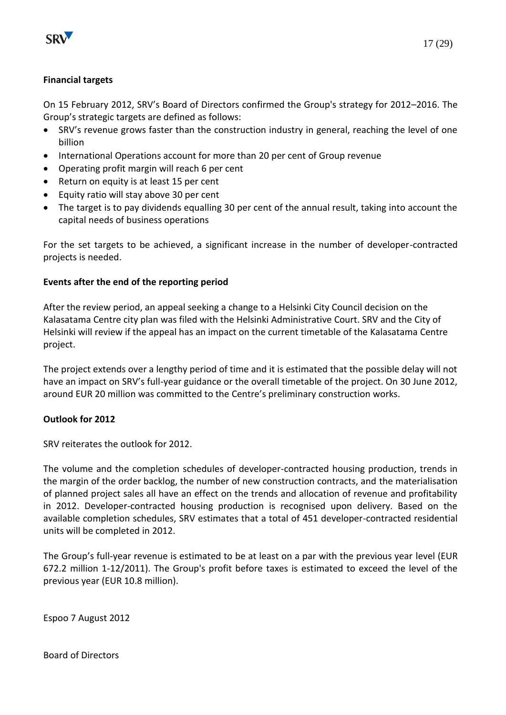

On 15 February 2012, SRV's Board of Directors confirmed the Group's strategy for 2012–2016. The Group's strategic targets are defined as follows:

- SRV's revenue grows faster than the construction industry in general, reaching the level of one billion
- International Operations account for more than 20 per cent of Group revenue
- Operating profit margin will reach 6 per cent
- Return on equity is at least 15 per cent
- Equity ratio will stay above 30 per cent
- The target is to pay dividends equalling 30 per cent of the annual result, taking into account the capital needs of business operations

For the set targets to be achieved, a significant increase in the number of developer-contracted projects is needed.

# **Events after the end of the reporting period**

After the review period, an appeal seeking a change to a Helsinki City Council decision on the Kalasatama Centre city plan was filed with the Helsinki Administrative Court. SRV and the City of Helsinki will review if the appeal has an impact on the current timetable of the Kalasatama Centre project.

The project extends over a lengthy period of time and it is estimated that the possible delay will not have an impact on SRV's full-year guidance or the overall timetable of the project. On 30 June 2012, around EUR 20 million was committed to the Centre's preliminary construction works.

# **Outlook for 2012**

SRV reiterates the outlook for 2012.

The volume and the completion schedules of developer-contracted housing production, trends in the margin of the order backlog, the number of new construction contracts, and the materialisation of planned project sales all have an effect on the trends and allocation of revenue and profitability in 2012. Developer-contracted housing production is recognised upon delivery. Based on the available completion schedules, SRV estimates that a total of 451 developer-contracted residential units will be completed in 2012.

The Group's full-year revenue is estimated to be at least on a par with the previous year level (EUR 672.2 million 1-12/2011). The Group's profit before taxes is estimated to exceed the level of the previous year (EUR 10.8 million).

Espoo 7 August 2012

Board of Directors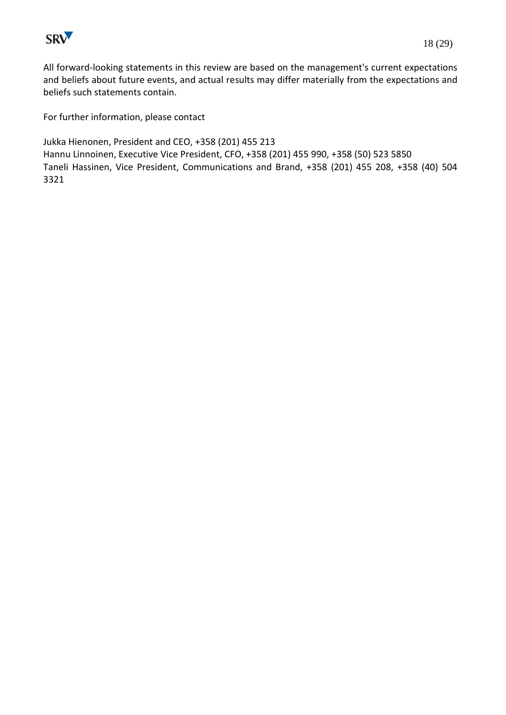

All forward-looking statements in this review are based on the management's current expectations and beliefs about future events, and actual results may differ materially from the expectations and beliefs such statements contain.

For further information, please contact

Jukka Hienonen, President and CEO, +358 (201) 455 213 Hannu Linnoinen, Executive Vice President, CFO, +358 (201) 455 990, +358 (50) 523 5850 Taneli Hassinen, Vice President, Communications and Brand, +358 (201) 455 208, +358 (40) 504 3321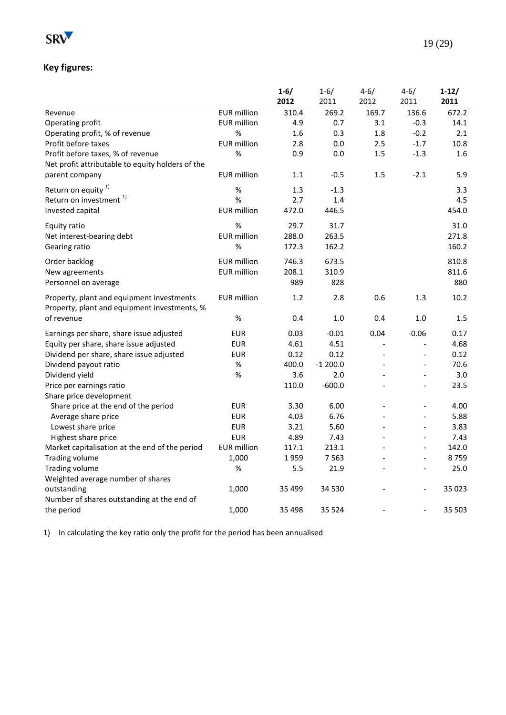

|                                                  |                    | $1 - 6/$ | $1 - 6/$  | $4 - 6/$       | $4 - 6/$       | $1-12/$ |
|--------------------------------------------------|--------------------|----------|-----------|----------------|----------------|---------|
|                                                  |                    | 2012     | 2011      | 2012           | 2011           | 2011    |
| Revenue                                          | <b>EUR</b> million | 310.4    | 269.2     | 169.7          | 136.6          | 672.2   |
| Operating profit                                 | <b>EUR</b> million | 4.9      | 0.7       | 3.1            | $-0.3$         | 14.1    |
| Operating profit, % of revenue                   | %                  | 1.6      | 0.3       | 1.8            | $-0.2$         | 2.1     |
| Profit before taxes                              | <b>EUR</b> million | 2.8      | 0.0       | 2.5            | $-1.7$         | 10.8    |
| Profit before taxes, % of revenue                | $\%$               | 0.9      | 0.0       | 1.5            | $-1.3$         | 1.6     |
| Net profit attributable to equity holders of the |                    |          |           |                |                |         |
| parent company                                   | <b>EUR</b> million | 1.1      | $-0.5$    | 1.5            | $-2.1$         | 5.9     |
| Return on equity $1$                             | $\%$               | 1.3      | $-1.3$    |                |                | 3.3     |
| Return on investment <sup>1)</sup>               | %                  | 2.7      | 1.4       |                |                | 4.5     |
| Invested capital                                 | <b>EUR</b> million | 472.0    | 446.5     |                |                | 454.0   |
| Equity ratio                                     | $\%$               | 29.7     | 31.7      |                |                | 31.0    |
| Net interest-bearing debt                        | <b>EUR</b> million | 288.0    | 263.5     |                |                | 271.8   |
| Gearing ratio                                    | %                  | 172.3    | 162.2     |                |                | 160.2   |
|                                                  |                    |          |           |                |                |         |
| Order backlog                                    | <b>EUR</b> million | 746.3    | 673.5     |                |                | 810.8   |
| New agreements                                   | <b>EUR</b> million | 208.1    | 310.9     |                |                | 811.6   |
| Personnel on average                             |                    | 989      | 828       |                |                | 880     |
| Property, plant and equipment investments        | <b>EUR</b> million | 1.2      | 2.8       | 0.6            | 1.3            | 10.2    |
| Property, plant and equipment investments, %     |                    |          |           |                |                |         |
| of revenue                                       | $\%$               | 0.4      | $1.0\,$   | 0.4            | 1.0            | 1.5     |
| Earnings per share, share issue adjusted         | <b>EUR</b>         | 0.03     | $-0.01$   | 0.04           | $-0.06$        | 0.17    |
| Equity per share, share issue adjusted           | <b>EUR</b>         | 4.61     | 4.51      | $\overline{a}$ | $\overline{a}$ | 4.68    |
| Dividend per share, share issue adjusted         | <b>EUR</b>         | 0.12     | 0.12      | $\overline{a}$ | $\overline{a}$ | 0.12    |
| Dividend payout ratio                            | $\%$               | 400.0    | $-1200.0$ | $\overline{a}$ | $\overline{a}$ | 70.6    |
| Dividend yield                                   | %                  | 3.6      | 2.0       |                |                | 3.0     |
| Price per earnings ratio                         |                    | 110.0    | $-600.0$  |                | $\overline{a}$ | 23.5    |
| Share price development                          |                    |          |           |                |                |         |
| Share price at the end of the period             | <b>EUR</b>         | 3.30     | 6.00      |                |                | 4.00    |
| Average share price                              | <b>EUR</b>         | 4.03     | 6.76      | $\blacksquare$ | $\overline{a}$ | 5.88    |
| Lowest share price                               | <b>EUR</b>         | 3.21     | 5.60      |                | $\overline{a}$ | 3.83    |
| Highest share price                              | <b>EUR</b>         | 4.89     | 7.43      |                | $\overline{a}$ | 7.43    |
| Market capitalisation at the end of the period   | <b>EUR</b> million | 117.1    | 213.1     |                | $\overline{a}$ | 142.0   |
| <b>Trading volume</b>                            | 1,000              | 1959     | 7 5 6 3   |                | $\overline{a}$ | 8759    |
| Trading volume                                   | %                  | 5.5      | 21.9      |                | $\overline{a}$ | 25.0    |
| Weighted average number of shares                |                    |          |           |                |                |         |
| outstanding                                      | 1,000              | 35 499   | 34 530    |                | $\overline{a}$ | 35 0 23 |
| Number of shares outstanding at the end of       |                    |          |           |                |                |         |
| the period                                       | 1,000              | 35 4 98  | 35 5 24   |                | $\overline{a}$ | 35 503  |

1) In calculating the key ratio only the profit for the period has been annualised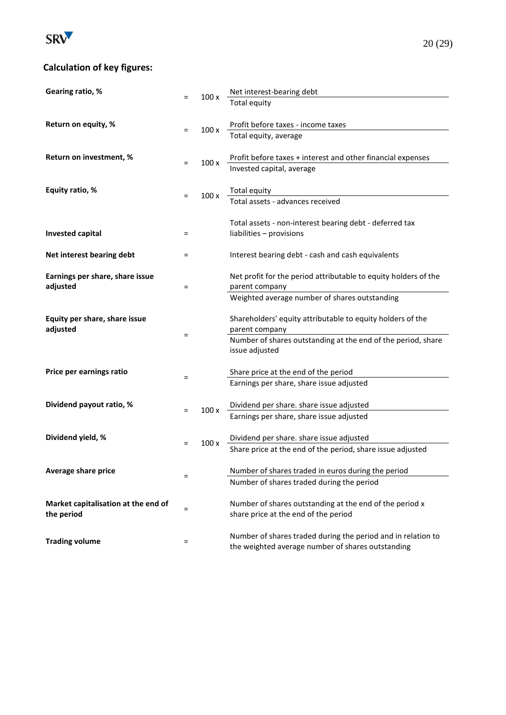

# **Calculation of key figures:**

| Gearing ratio, %                    |          |      | Net interest-bearing debt                                                                                         |
|-------------------------------------|----------|------|-------------------------------------------------------------------------------------------------------------------|
|                                     | $=$      | 100x | <b>Total equity</b>                                                                                               |
|                                     |          |      |                                                                                                                   |
| Return on equity, %                 | $=$      | 100x | Profit before taxes - income taxes                                                                                |
|                                     |          |      | Total equity, average                                                                                             |
|                                     |          |      |                                                                                                                   |
| Return on investment, %             | $=$      | 100x | Profit before taxes + interest and other financial expenses                                                       |
|                                     |          |      | Invested capital, average                                                                                         |
| Equity ratio, %                     |          |      |                                                                                                                   |
|                                     | $=$      | 100x | Total equity<br>Total assets - advances received                                                                  |
|                                     |          |      |                                                                                                                   |
|                                     |          |      | Total assets - non-interest bearing debt - deferred tax                                                           |
| <b>Invested capital</b>             | Ξ        |      | liabilities - provisions                                                                                          |
|                                     |          |      |                                                                                                                   |
| Net interest bearing debt           | $=$      |      | Interest bearing debt - cash and cash equivalents                                                                 |
|                                     |          |      |                                                                                                                   |
| Earnings per share, share issue     |          |      | Net profit for the period attributable to equity holders of the                                                   |
| adjusted                            | $=$      |      | parent company                                                                                                    |
|                                     |          |      | Weighted average number of shares outstanding                                                                     |
| Equity per share, share issue       |          |      | Shareholders' equity attributable to equity holders of the                                                        |
| adjusted                            |          |      | parent company                                                                                                    |
|                                     | $=$      |      | Number of shares outstanding at the end of the period, share                                                      |
|                                     |          |      | issue adjusted                                                                                                    |
|                                     |          |      |                                                                                                                   |
| Price per earnings ratio            | Ξ        |      | Share price at the end of the period                                                                              |
|                                     |          |      | Earnings per share, share issue adjusted                                                                          |
|                                     |          |      |                                                                                                                   |
| Dividend payout ratio, %            | $=$      | 100x | Dividend per share. share issue adjusted<br>Earnings per share, share issue adjusted                              |
|                                     |          |      |                                                                                                                   |
| Dividend yield, %                   |          |      | Dividend per share. share issue adjusted                                                                          |
|                                     | $=$      | 100x | Share price at the end of the period, share issue adjusted                                                        |
|                                     |          |      |                                                                                                                   |
| Average share price                 |          |      | Number of shares traded in euros during the period                                                                |
|                                     | Ξ        |      | Number of shares traded during the period                                                                         |
|                                     |          |      |                                                                                                                   |
| Market capitalisation at the end of | $\equiv$ |      | Number of shares outstanding at the end of the period x                                                           |
| the period                          |          |      | share price at the end of the period                                                                              |
|                                     |          |      |                                                                                                                   |
| <b>Trading volume</b>               | Ξ        |      | Number of shares traded during the period and in relation to<br>the weighted average number of shares outstanding |
|                                     |          |      |                                                                                                                   |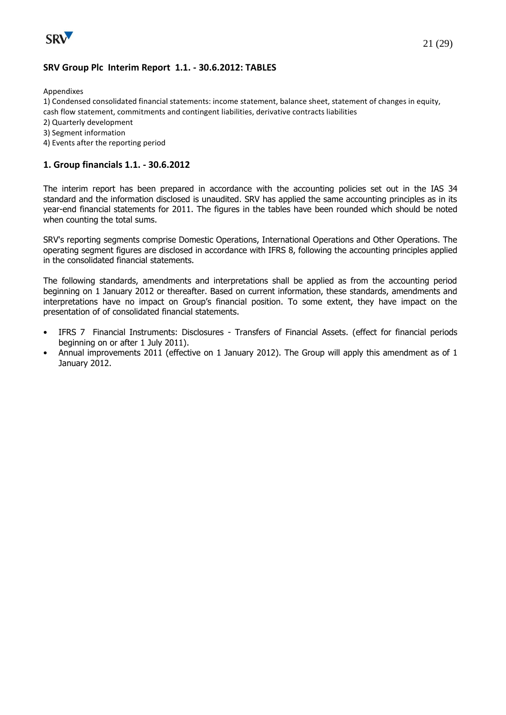

#### **SRV Group Plc Interim Report 1.1. - 30.6.2012: TABLES**

Appendixes

1) Condensed consolidated financial statements: income statement, balance sheet, statement of changes in equity, cash flow statement, commitments and contingent liabilities, derivative contracts liabilities

- 2) Quarterly development
- 3) Segment information
- 4) Events after the reporting period

#### **1. Group financials 1.1. - 30.6.2012**

The interim report has been prepared in accordance with the accounting policies set out in the IAS 34 standard and the information disclosed is unaudited. SRV has applied the same accounting principles as in its year-end financial statements for 2011. The figures in the tables have been rounded which should be noted when counting the total sums.

SRV's reporting segments comprise Domestic Operations, International Operations and Other Operations. The operating segment figures are disclosed in accordance with IFRS 8, following the accounting principles applied in the consolidated financial statements.

The following standards, amendments and interpretations shall be applied as from the accounting period beginning on 1 January 2012 or thereafter. Based on current information, these standards, amendments and interpretations have no impact on Group's financial position. To some extent, they have impact on the presentation of of consolidated financial statements.

- IFRS 7 Financial Instruments: Disclosures Transfers of Financial Assets. (effect for financial periods beginning on or after 1 July 2011).
- Annual improvements 2011 (effective on 1 January 2012). The Group will apply this amendment as of 1 January 2012.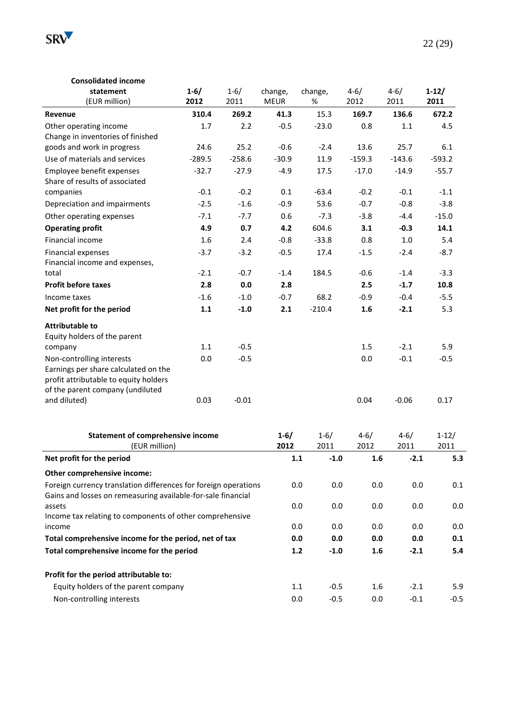

| <b>Consolidated income</b>                                                                                                                                                                                          |            |                  |                  |                  |                  |                  |                 |
|---------------------------------------------------------------------------------------------------------------------------------------------------------------------------------------------------------------------|------------|------------------|------------------|------------------|------------------|------------------|-----------------|
| statement                                                                                                                                                                                                           | $1 - 6/$   | $1 - 6/$         | change,          | change,          | $4 - 6/$         | $4 - 6/$         | $1-12/$         |
| (EUR million)                                                                                                                                                                                                       | 2012       | 2011             | <b>MEUR</b>      | %                | 2012             | 2011             | 2011            |
| Revenue                                                                                                                                                                                                             | 310.4      | 269.2            | 41.3             | 15.3             | 169.7            | 136.6            | 672.2           |
| Other operating income                                                                                                                                                                                              | 1.7        | 2.2              | $-0.5$           | $-23.0$          | 0.8              | 1.1              | 4.5             |
| Change in inventories of finished                                                                                                                                                                                   |            |                  |                  |                  |                  |                  |                 |
| goods and work in progress                                                                                                                                                                                          | 24.6       | 25.2             | $-0.6$           | $-2.4$           | 13.6             | 25.7             | 6.1             |
| Use of materials and services                                                                                                                                                                                       | $-289.5$   | $-258.6$         | $-30.9$          | 11.9             | $-159.3$         | $-143.6$         | $-593.2$        |
| Employee benefit expenses<br>Share of results of associated                                                                                                                                                         | $-32.7$    | $-27.9$          | $-4.9$           | 17.5             | $-17.0$          | $-14.9$          | $-55.7$         |
| companies                                                                                                                                                                                                           | $-0.1$     | $-0.2$           | 0.1              | $-63.4$          | $-0.2$           | $-0.1$           | $-1.1$          |
| Depreciation and impairments                                                                                                                                                                                        | $-2.5$     | $-1.6$           | $-0.9$           | 53.6             | $-0.7$           | $-0.8$           | $-3.8$          |
| Other operating expenses                                                                                                                                                                                            | $-7.1$     | $-7.7$           | 0.6              | $-7.3$           | $-3.8$           | $-4.4$           | $-15.0$         |
| <b>Operating profit</b>                                                                                                                                                                                             | 4.9        | 0.7              | 4.2              | 604.6            | 3.1              | $-0.3$           | 14.1            |
| Financial income                                                                                                                                                                                                    | 1.6        | 2.4              | $-0.8$           | $-33.8$          | 0.8              | 1.0              | 5.4             |
| <b>Financial expenses</b><br>Financial income and expenses,                                                                                                                                                         | $-3.7$     | $-3.2$           | $-0.5$           | 17.4             | $-1.5$           | $-2.4$           | $-8.7$          |
| total                                                                                                                                                                                                               | $-2.1$     | $-0.7$           | $-1.4$           | 184.5            | $-0.6$           | $-1.4$           | $-3.3$          |
| <b>Profit before taxes</b>                                                                                                                                                                                          | 2.8        | 0.0              | 2.8              |                  | 2.5              | $-1.7$           | 10.8            |
| Income taxes                                                                                                                                                                                                        | $-1.6$     | $-1.0$           | $-0.7$           | 68.2             | $-0.9$           | $-0.4$           | $-5.5$          |
| Net profit for the period                                                                                                                                                                                           | 1.1        | $-1.0$           | 2.1              | $-210.4$         | 1.6              | $-2.1$           | 5.3             |
| <b>Attributable to</b><br>Equity holders of the parent<br>company<br>Non-controlling interests<br>Earnings per share calculated on the<br>profit attributable to equity holders<br>of the parent company (undiluted | 1.1<br>0.0 | $-0.5$<br>$-0.5$ |                  |                  | 1.5<br>0.0       | $-2.1$<br>$-0.1$ | 5.9<br>$-0.5$   |
| and diluted)                                                                                                                                                                                                        | 0.03       | $-0.01$          |                  |                  | 0.04             | $-0.06$          | 0.17            |
| <b>Statement of comprehensive income</b><br>(EUR million)                                                                                                                                                           |            |                  | $1 - 6/$<br>2012 | $1 - 6/$<br>2011 | $4 - 6/$<br>2012 | $4 - 6/$<br>2011 | $1-12/$<br>2011 |
| Net profit for the period                                                                                                                                                                                           |            |                  | 1.1              | $-1.0$           | 1.6              | $-2.1$           | 5.3             |
| Other comprehensive income:                                                                                                                                                                                         |            |                  |                  |                  |                  |                  |                 |
| Foreign currency translation differences for foreign operations<br>Gains and losses on remeasuring available-for-sale financial                                                                                     |            |                  | 0.0              | 0.0              | 0.0              | 0.0              | 0.1             |
| assets<br>Income tax relating to components of other comprehensive                                                                                                                                                  |            |                  | 0.0              | 0.0              | 0.0              | 0.0              | 0.0             |
| income                                                                                                                                                                                                              |            |                  | 0.0              | 0.0              | 0.0              | 0.0              | 0.0             |
| Total comprehensive income for the period, net of tax                                                                                                                                                               |            |                  | 0.0              | 0.0              | 0.0              | 0.0              | 0.1             |
| Total comprehensive income for the period                                                                                                                                                                           |            |                  | $1.2$            | $-1.0$           | 1.6              | $-2.1$           | 5.4             |
| Profit for the period attributable to:                                                                                                                                                                              |            |                  |                  |                  |                  |                  |                 |
| Equity holders of the parent company                                                                                                                                                                                |            |                  | $1.1\,$          | $-0.5$           | 1.6              | $-2.1$           | 5.9             |
| Non-controlling interests                                                                                                                                                                                           |            |                  | 0.0              | $-0.5$           | 0.0              | $-0.1$           | $-0.5$          |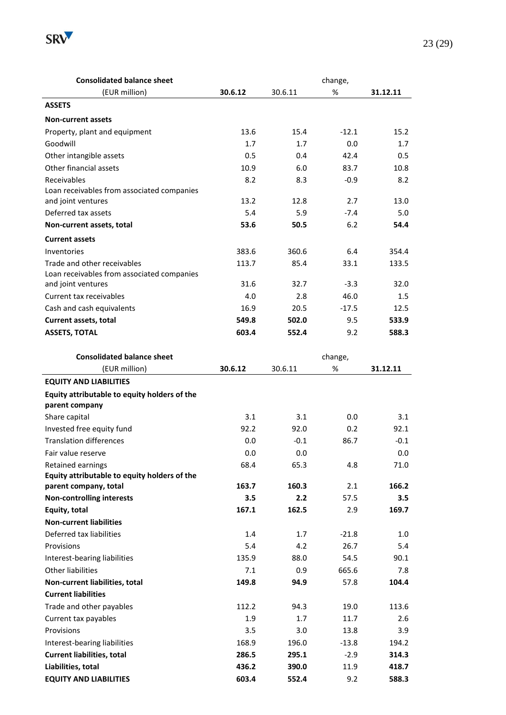

| <b>Consolidated balance sheet</b>                              |         | change, |            |          |  |  |
|----------------------------------------------------------------|---------|---------|------------|----------|--|--|
| (EUR million)                                                  | 30.6.12 | 30.6.11 | %          | 31.12.11 |  |  |
| <b>ASSETS</b>                                                  |         |         |            |          |  |  |
| <b>Non-current assets</b>                                      |         |         |            |          |  |  |
| Property, plant and equipment                                  | 13.6    | 15.4    | $-12.1$    | 15.2     |  |  |
| Goodwill                                                       | 1.7     | 1.7     | 0.0        | 1.7      |  |  |
| Other intangible assets                                        | 0.5     | 0.4     | 42.4       | 0.5      |  |  |
| Other financial assets                                         | 10.9    | 6.0     | 83.7       | 10.8     |  |  |
| Receivables                                                    | 8.2     | 8.3     | $-0.9$     | 8.2      |  |  |
| Loan receivables from associated companies                     |         |         |            |          |  |  |
| and joint ventures                                             | 13.2    | 12.8    | 2.7        | 13.0     |  |  |
| Deferred tax assets                                            | 5.4     | 5.9     | $-7.4$     | 5.0      |  |  |
| Non-current assets, total                                      | 53.6    | 50.5    | 6.2        | 54.4     |  |  |
| <b>Current assets</b>                                          |         |         |            |          |  |  |
| Inventories                                                    | 383.6   | 360.6   | 6.4        | 354.4    |  |  |
| Trade and other receivables                                    | 113.7   | 85.4    | 33.1       | 133.5    |  |  |
| Loan receivables from associated companies                     |         |         |            |          |  |  |
| and joint ventures                                             | 31.6    | 32.7    | $-3.3$     | 32.0     |  |  |
| Current tax receivables                                        | 4.0     | 2.8     | 46.0       | 1.5      |  |  |
| Cash and cash equivalents                                      | 16.9    | 20.5    | $-17.5$    | 12.5     |  |  |
| Current assets, total                                          | 549.8   | 502.0   | 9.5        | 533.9    |  |  |
| <b>ASSETS, TOTAL</b>                                           | 603.4   | 552.4   | 9.2        | 588.3    |  |  |
| <b>Consolidated balance sheet</b>                              |         |         | change,    |          |  |  |
| (EUR million)                                                  | 30.6.12 | 30.6.11 | %          | 31.12.11 |  |  |
| <b>EQUITY AND LIABILITIES</b>                                  |         |         |            |          |  |  |
| Equity attributable to equity holders of the<br>parent company |         |         |            |          |  |  |
| Share capital                                                  | 3.1     | 3.1     | 0.0        | 3.1      |  |  |
| Invested free equity fund                                      | 92.2    | 92.0    | 0.2        | 92.1     |  |  |
| Tranclation differences                                        | n n     | $-0.1$  | <b>867</b> | $-0.1$   |  |  |

| parent company                               |       |        |         |        |
|----------------------------------------------|-------|--------|---------|--------|
| Share capital                                | 3.1   | 3.1    | 0.0     | 3.1    |
| Invested free equity fund                    | 92.2  | 92.0   | 0.2     | 92.1   |
| <b>Translation differences</b>               | 0.0   | $-0.1$ | 86.7    | $-0.1$ |
| Fair value reserve                           | 0.0   | 0.0    |         | 0.0    |
| Retained earnings                            | 68.4  | 65.3   | 4.8     | 71.0   |
| Equity attributable to equity holders of the |       |        |         |        |
| parent company, total                        | 163.7 | 160.3  | 2.1     | 166.2  |
| <b>Non-controlling interests</b>             | 3.5   | 2.2    | 57.5    | 3.5    |
| Equity, total                                | 167.1 | 162.5  | 2.9     | 169.7  |
| <b>Non-current liabilities</b>               |       |        |         |        |
| Deferred tax liabilities                     | 1.4   | 1.7    | $-21.8$ | 1.0    |
| Provisions                                   | 5.4   | 4.2    | 26.7    | 5.4    |
| Interest-bearing liabilities                 | 135.9 | 88.0   | 54.5    | 90.1   |
| Other liabilities                            | 7.1   | 0.9    | 665.6   | 7.8    |
| Non-current liabilities, total               | 149.8 | 94.9   | 57.8    | 104.4  |
| <b>Current liabilities</b>                   |       |        |         |        |
| Trade and other payables                     | 112.2 | 94.3   | 19.0    | 113.6  |
| Current tax payables                         | 1.9   | 1.7    | 11.7    | 2.6    |
| Provisions                                   | 3.5   | 3.0    | 13.8    | 3.9    |
| Interest-bearing liabilities                 | 168.9 | 196.0  | $-13.8$ | 194.2  |
| <b>Current liabilities, total</b>            | 286.5 | 295.1  | $-2.9$  | 314.3  |
| Liabilities, total                           | 436.2 | 390.0  | 11.9    | 418.7  |
| <b>EQUITY AND LIABILITIES</b>                | 603.4 | 552.4  | 9.2     | 588.3  |
|                                              |       |        |         |        |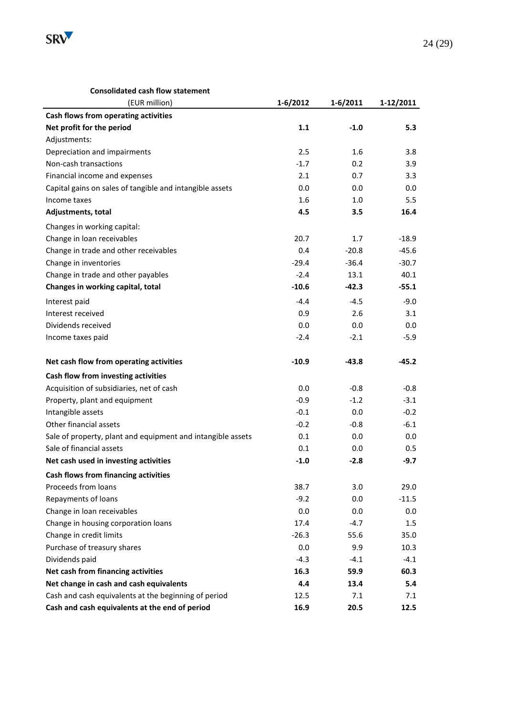

#### **Consolidated cash flow statement**

| (EUR million)                                               | $1 - 6/2012$ | $1 - 6/2011$ | 1-12/2011 |
|-------------------------------------------------------------|--------------|--------------|-----------|
| Cash flows from operating activities                        |              |              |           |
| Net profit for the period                                   | 1.1          | $-1.0$       | 5.3       |
| Adjustments:                                                |              |              |           |
| Depreciation and impairments                                | 2.5          | 1.6          | 3.8       |
| Non-cash transactions                                       | $-1.7$       | 0.2          | 3.9       |
| Financial income and expenses                               | 2.1          | 0.7          | 3.3       |
| Capital gains on sales of tangible and intangible assets    | 0.0          | 0.0          | 0.0       |
| Income taxes                                                | 1.6          | 1.0          | 5.5       |
| Adjustments, total                                          | 4.5          | 3.5          | 16.4      |
| Changes in working capital:                                 |              |              |           |
| Change in loan receivables                                  | 20.7         | 1.7          | $-18.9$   |
| Change in trade and other receivables                       | 0.4          | $-20.8$      | $-45.6$   |
| Change in inventories                                       | $-29.4$      | $-36.4$      | $-30.7$   |
| Change in trade and other payables                          | $-2.4$       | 13.1         | 40.1      |
| Changes in working capital, total                           | $-10.6$      | $-42.3$      | $-55.1$   |
| Interest paid                                               | $-4.4$       | $-4.5$       | $-9.0$    |
| Interest received                                           | 0.9          | 2.6          | 3.1       |
| Dividends received                                          | 0.0          | 0.0          | 0.0       |
| Income taxes paid                                           | $-2.4$       | $-2.1$       | $-5.9$    |
| Net cash flow from operating activities                     | $-10.9$      | $-43.8$      | $-45.2$   |
| Cash flow from investing activities                         |              |              |           |
| Acquisition of subsidiaries, net of cash                    | 0.0          | $-0.8$       | $-0.8$    |
| Property, plant and equipment                               | $-0.9$       | $-1.2$       | $-3.1$    |
| Intangible assets                                           | $-0.1$       | 0.0          | $-0.2$    |
| Other financial assets                                      | $-0.2$       | $-0.8$       | $-6.1$    |
| Sale of property, plant and equipment and intangible assets | 0.1          | 0.0          | 0.0       |
| Sale of financial assets                                    | 0.1          | 0.0          | 0.5       |
| Net cash used in investing activities                       | $-1.0$       | $-2.8$       | $-9.7$    |
| Cash flows from financing activities                        |              |              |           |
| Proceeds from loans                                         | 38.7         | 3.0          | 29.0      |
| Repayments of loans                                         | $-9.2$       | 0.0          | $-11.5$   |
| Change in loan receivables                                  | 0.0          | 0.0          | $0.0\,$   |
| Change in housing corporation loans                         | 17.4         | $-4.7$       | 1.5       |
| Change in credit limits                                     | $-26.3$      | 55.6         | 35.0      |
| Purchase of treasury shares                                 | 0.0          | 9.9          | 10.3      |
| Dividends paid                                              | $-4.3$       | $-4.1$       | $-4.1$    |
| Net cash from financing activities                          | 16.3         | 59.9         | 60.3      |
| Net change in cash and cash equivalents                     | 4.4          | 13.4         | 5.4       |
| Cash and cash equivalents at the beginning of period        | 12.5         | 7.1          | 7.1       |
| Cash and cash equivalents at the end of period              | 16.9         | 20.5         | 12.5      |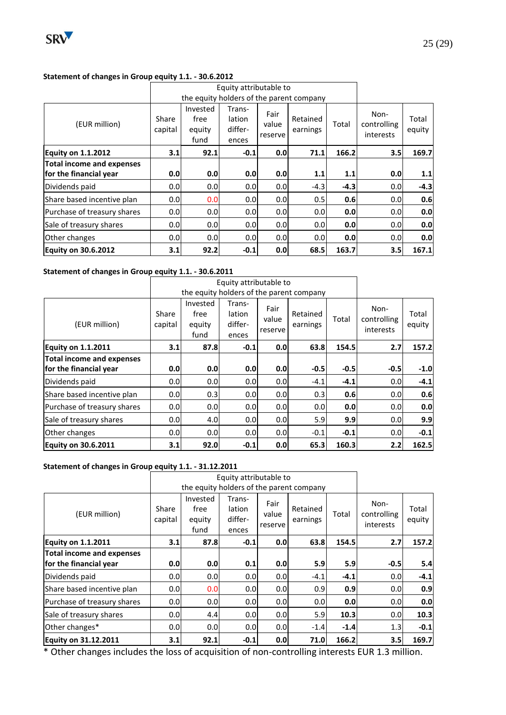

#### **Statement of changes in Group equity 1.1. - 30.6.2012**

|                             |                  |                                          | Equity attributable to               |                          |                      |        |                                  |                 |
|-----------------------------|------------------|------------------------------------------|--------------------------------------|--------------------------|----------------------|--------|----------------------------------|-----------------|
|                             |                  | the equity holders of the parent company |                                      |                          |                      |        |                                  |                 |
| (EUR million)               | Share<br>capital | Invested<br>free<br>equity<br>fund       | Trans-<br>lation<br>differ-<br>ences | Fair<br>value<br>reserve | Retained<br>earnings | Total  | Non-<br>controlling<br>interests | Total<br>equity |
| <b>Equity on 1.1.2012</b>   | 3.1              | 92.1                                     | $-0.1$                               | 0.0                      | 71.1                 | 166.2  | 3.5                              | 169.7           |
| Total income and expenses   |                  |                                          |                                      |                          |                      |        |                                  |                 |
| for the financial year      | 0.0              | 0.0                                      | 0.0                                  | 0.0                      | 1.1                  | 1.1    | 0.0                              | 1.1             |
| Dividends paid              | 0.0              | 0.0                                      | 0.0                                  | 0.0                      | $-4.3$               | $-4.3$ | 0.0                              | $-4.3$          |
| Share based incentive plan  | 0.0              | 0.0                                      | 0.0                                  | 0.0                      | 0.5                  | 0.6    | 0.0                              | 0.6             |
| Purchase of treasury shares | 0.0              | 0.0                                      | 0.0                                  | 0.0                      | 0.0 <sub>l</sub>     | 0.0    | 0.0                              | 0.0             |
| Sale of treasury shares     | 0.0              | 0.0                                      | 0.0                                  | 0.0                      | 0.0                  | 0.0    | 0.0                              | 0.0             |
| Other changes               | 0.0              | 0.0                                      | 0.0                                  | 0.0                      | 0.0 <sub>l</sub>     | 0.0    | 0.0                              | 0.0             |
| <b>Equity on 30.6.2012</b>  | 3.1              | 92.2                                     | $-0.1$                               | 0.0                      | 68.5                 | 163.7  | 3.5                              | 167.1           |

#### **Statement of changes in Group equity 1.1. - 30.6.2011**

|                                  |                  |                                          | Equity attributable to               |                          |                      |        |                                  |                 |
|----------------------------------|------------------|------------------------------------------|--------------------------------------|--------------------------|----------------------|--------|----------------------------------|-----------------|
|                                  |                  | the equity holders of the parent company |                                      |                          |                      |        |                                  |                 |
| (EUR million)                    | Share<br>capital | Invested<br>free<br>equity<br>fund       | Trans-<br>lation<br>differ-<br>ences | Fair<br>value<br>reserve | Retained<br>earnings | Total  | Non-<br>controlling<br>interests | Total<br>equity |
| <b>Equity on 1.1.2011</b>        | 3.1              | 87.8                                     | $-0.1$                               | 0.0                      | 63.8                 | 154.5  | 2.7                              | 157.2           |
| <b>Total income and expenses</b> |                  |                                          |                                      |                          |                      |        |                                  |                 |
| for the financial year           | 0.0              | 0.0                                      | 0.0                                  | 0.0                      | $-0.5$               | $-0.5$ | $-0.5$                           | $-1.0$          |
| Dividends paid                   | 0.0              | 0.0                                      | 0.0                                  | 0.0                      | $-4.1$               | $-4.1$ | 0.0                              | $-4.1$          |
| Share based incentive plan       | 0.0              | 0.3                                      | 0.0 <sub>l</sub>                     | 0.0                      | 0.3                  | 0.6    | 0.0                              | 0.6             |
| Purchase of treasury shares      | 0.0              | 0.0                                      | 0.0                                  | 0.0                      | 0.0                  | 0.0    | 0.0                              | 0.0             |
| Sale of treasury shares          | 0.0              | 4.0                                      | 0.0 <sub>l</sub>                     | 0.0                      | 5.9                  | 9.9    | 0.0                              | 9.9             |
| Other changes                    | 0.0              | 0.0                                      | 0.0 <sub>l</sub>                     | 0.0                      | $-0.1$               | $-0.1$ | 0.0                              | $-0.1$          |
| <b>Equity on 30.6.2011</b>       | 3.1              | 92.0                                     | $-0.1$                               | 0.0                      | 65.3                 | 160.3  | 2.2                              | 162.5           |

#### **Statement of changes in Group equity 1.1. - 31.12.2011**

|                                  |                  |                                    | Equity attributable to               |                          |                                          |        |                                  |                 |
|----------------------------------|------------------|------------------------------------|--------------------------------------|--------------------------|------------------------------------------|--------|----------------------------------|-----------------|
|                                  |                  |                                    |                                      |                          | the equity holders of the parent company |        |                                  |                 |
| (EUR million)                    | Share<br>capital | Invested<br>free<br>equity<br>fund | Trans-<br>lation<br>differ-<br>ences | Fair<br>value<br>reserve | Retained<br>earnings                     | Total  | Non-<br>controlling<br>interests | Total<br>equity |
| <b>Equity on 1.1.2011</b>        | 3.1              | 87.8                               | $-0.1$                               | 0.0                      | 63.8                                     | 154.5  | 2.7                              | 157.2           |
| <b>Total income and expenses</b> |                  |                                    |                                      |                          |                                          |        |                                  |                 |
| for the financial year           | 0.0              | 0.0                                | 0.1                                  | 0.0                      | 5.9                                      | 5.9    | $-0.5$                           | 5.4             |
| Dividends paid                   | 0.0              | 0.0                                | 0.0 <sub>l</sub>                     | 0.0                      | $-4.1$                                   | $-4.1$ | 0.0                              | $-4.1$          |
| Share based incentive plan       | 0.0              | 0.0                                | 0.0 <sub>l</sub>                     | 0.0                      | 0.9                                      | 0.9    | 0.0                              | 0.9             |
| Purchase of treasury shares      | 0.0              | 0.0                                | 0.0                                  | 0.0                      | 0.0                                      | 0.0    | 0.0                              | 0.0             |
| Sale of treasury shares          | 0.0              | 4.4                                | 0.0                                  | 0.0                      | 5.9                                      | 10.3   | 0.0                              | 10.3            |
| Other changes*                   | 0.0              | 0.0                                | 0.0 <sub>l</sub>                     | 0.0                      | $-1.4$                                   | $-1.4$ | 1.3                              | $-0.1$          |
| <b>Equity on 31.12.2011</b>      | 3.1              | 92.1                               | $-0.1$                               | 0.0                      | 71.0                                     | 166.2  | 3.5                              | 169.7           |

\* Other changes includes the loss of acquisition of non-controlling interests EUR 1.3 million.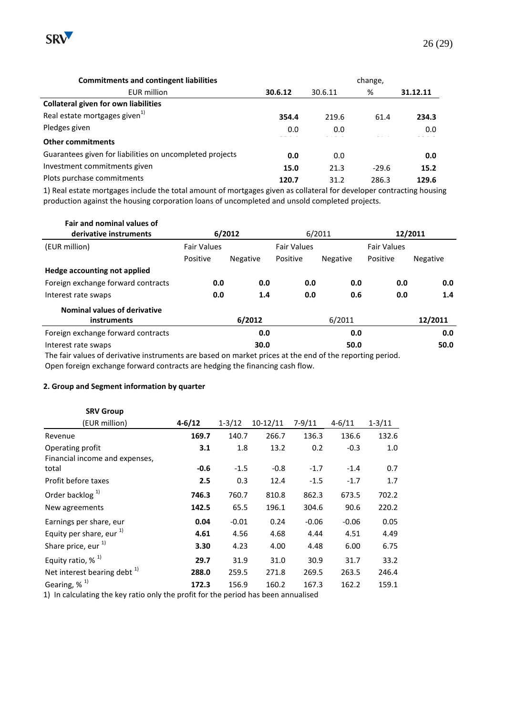

| <b>Commitments and contingent liabilities</b>            | change, |         |         |          |
|----------------------------------------------------------|---------|---------|---------|----------|
| <b>EUR</b> million                                       | 30.6.12 | 30.6.11 | %       | 31.12.11 |
| <b>Collateral given for own liabilities</b>              |         |         |         |          |
| Real estate mortgages given <sup>1)</sup>                | 354.4   | 219.6   | 61.4    | 234.3    |
| Pledges given                                            | 0.0     | 0.0     |         | 0.0      |
| <b>Other commitments</b>                                 |         |         |         |          |
| Guarantees given for liabilities on uncompleted projects | 0.0     | 0.0     |         | 0.0      |
| Investment commitments given                             | 15.0    | 21.3    | $-29.6$ | 15.2     |
| Plots purchase commitments                               | 120.7   | 31.2    | 286.3   | 129.6    |

1) Real estate mortgages include the total amount of mortgages given as collateral for developer contracting housing production against the housing corporation loans of uncompleted and unsold completed projects.

| Fair and nominal values of                                                                                     |                    |                 |                    |                 |                    |                 |
|----------------------------------------------------------------------------------------------------------------|--------------------|-----------------|--------------------|-----------------|--------------------|-----------------|
| derivative instruments                                                                                         | 6/2012             |                 |                    | 6/2011          | 12/2011            |                 |
| (EUR million)                                                                                                  | <b>Fair Values</b> |                 | <b>Fair Values</b> |                 | <b>Fair Values</b> |                 |
|                                                                                                                | Positive           | <b>Negative</b> | Positive           | <b>Negative</b> | Positive           | <b>Negative</b> |
| Hedge accounting not applied                                                                                   |                    |                 |                    |                 |                    |                 |
| Foreign exchange forward contracts                                                                             | 0.0                | 0.0             | 0.0                | 0.0             | 0.0                | 0.0             |
| Interest rate swaps                                                                                            | 0.0                | 1.4             | 0.0                | 0.6             | 0.0                | 1.4             |
| <b>Nominal values of derivative</b><br>instruments                                                             |                    | 6/2012          |                    | 6/2011          |                    | 12/2011         |
| Foreign exchange forward contracts                                                                             |                    | 0.0             |                    | 0.0             |                    | 0.0             |
| Interest rate swaps                                                                                            |                    | 30.0            |                    | 50.0            |                    | 50.0            |
| τις feterolices of destreative to accidence because of expedication subsequently evaluately secondate operated |                    |                 |                    |                 |                    |                 |

The fair values of derivative instruments are based on market prices at the end of the reporting period. Open foreign exchange forward contracts are hedging the financing cash flow.

#### **2. Group and Segment information by quarter**

| <b>SRV Group</b>                                   |            |            |            |            |            |            |
|----------------------------------------------------|------------|------------|------------|------------|------------|------------|
| (EUR million)                                      | $4 - 6/12$ | $1 - 3/12$ | $10-12/11$ | $7 - 9/11$ | $4 - 6/11$ | $1 - 3/11$ |
| Revenue                                            | 169.7      | 140.7      | 266.7      | 136.3      | 136.6      | 132.6      |
| Operating profit<br>Financial income and expenses, | 3.1        | 1.8        | 13.2       | 0.2        | $-0.3$     | 1.0        |
| total                                              | $-0.6$     | $-1.5$     | $-0.8$     | $-1.7$     | $-1.4$     | 0.7        |
| Profit before taxes                                | 2.5        | 0.3        | 12.4       | $-1.5$     | $-1.7$     | 1.7        |
| Order backlog <sup>1)</sup>                        | 746.3      | 760.7      | 810.8      | 862.3      | 673.5      | 702.2      |
| New agreements                                     | 142.5      | 65.5       | 196.1      | 304.6      | 90.6       | 220.2      |
| Earnings per share, eur                            | 0.04       | $-0.01$    | 0.24       | $-0.06$    | $-0.06$    | 0.05       |
| Equity per share, eur $^{1)}$                      | 4.61       | 4.56       | 4.68       | 4.44       | 4.51       | 4.49       |
| Share price, eur <sup>1)</sup>                     | 3.30       | 4.23       | 4.00       | 4.48       | 6.00       | 6.75       |
| Equity ratio, $%$ <sup>1)</sup>                    | 29.7       | 31.9       | 31.0       | 30.9       | 31.7       | 33.2       |
| Net interest bearing debt <sup>1)</sup>            | 288.0      | 259.5      | 271.8      | 269.5      | 263.5      | 246.4      |
| Gearing, $%$ <sup>1)</sup>                         | 172.3      | 156.9      | 160.2      | 167.3      | 162.2      | 159.1      |

1) In calculating the key ratio only the profit for the period has been annualised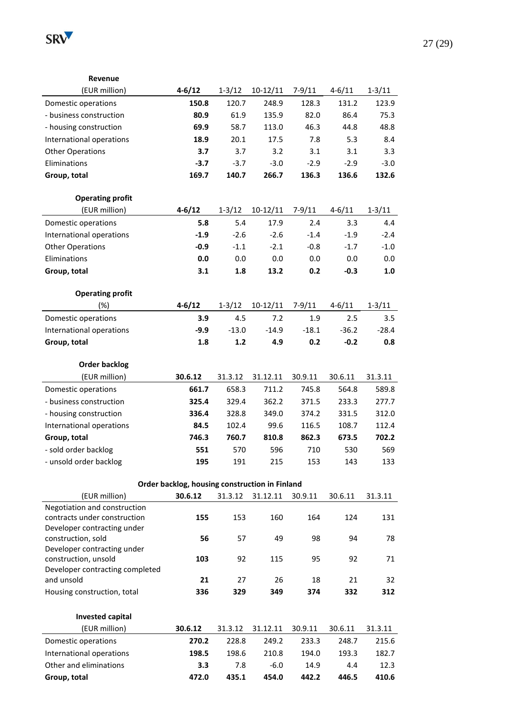

**Revenue**

| (EUR million)                                 | $4 - 6/12$                                     | $1 - 3/12$ | $10-12/11$ | $7 - 9/11$ | $4 - 6/11$ | $1 - 3/11$ |
|-----------------------------------------------|------------------------------------------------|------------|------------|------------|------------|------------|
| Domestic operations                           | 150.8                                          | 120.7      | 248.9      | 128.3      | 131.2      | 123.9      |
| - business construction                       | 80.9                                           | 61.9       | 135.9      | 82.0       | 86.4       | 75.3       |
| - housing construction                        | 69.9                                           | 58.7       | 113.0      | 46.3       | 44.8       | 48.8       |
| International operations                      | 18.9                                           | 20.1       | 17.5       | 7.8        | 5.3        | 8.4        |
| <b>Other Operations</b>                       | 3.7                                            | 3.7        | 3.2        | 3.1        | 3.1        | 3.3        |
| Eliminations                                  | $-3.7$                                         | $-3.7$     | $-3.0$     | $-2.9$     | $-2.9$     | $-3.0$     |
| Group, total                                  | 169.7                                          | 140.7      | 266.7      | 136.3      | 136.6      | 132.6      |
|                                               |                                                |            |            |            |            |            |
| <b>Operating profit</b>                       |                                                |            |            |            |            |            |
| (EUR million)                                 | $4 - 6/12$                                     | $1 - 3/12$ | $10-12/11$ | $7 - 9/11$ | $4 - 6/11$ | $1 - 3/11$ |
| Domestic operations                           | 5.8                                            | 5.4        | 17.9       | 2.4        | 3.3        | 4.4        |
| International operations                      | $-1.9$                                         | $-2.6$     | $-2.6$     | $-1.4$     | $-1.9$     | $-2.4$     |
| <b>Other Operations</b>                       | $-0.9$                                         | $-1.1$     | $-2.1$     | $-0.8$     | $-1.7$     | $-1.0$     |
| Eliminations                                  | 0.0                                            | 0.0        | 0.0        | 0.0        | 0.0        | 0.0        |
| Group, total                                  | 3.1                                            | 1.8        | 13.2       | 0.2        | $-0.3$     | 1.0        |
|                                               |                                                |            |            |            |            |            |
| <b>Operating profit</b>                       |                                                |            |            |            |            |            |
| (%)                                           | $4 - 6/12$                                     | $1 - 3/12$ | $10-12/11$ | $7-9/11$   | $4 - 6/11$ | $1 - 3/11$ |
| Domestic operations                           | 3.9                                            | 4.5        | 7.2        | 1.9        | 2.5        | 3.5        |
| International operations                      | -9.9                                           | $-13.0$    | $-14.9$    | $-18.1$    | $-36.2$    | $-28.4$    |
| Group, total                                  | 1.8                                            | $1.2$      | 4.9        | 0.2        | $-0.2$     | 0.8        |
|                                               |                                                |            |            |            |            |            |
| <b>Order backlog</b>                          |                                                |            |            |            |            |            |
| (EUR million)                                 | 30.6.12                                        | 31.3.12    | 31.12.11   | 30.9.11    | 30.6.11    | 31.3.11    |
| Domestic operations                           | 661.7                                          | 658.3      | 711.2      | 745.8      | 564.8      | 589.8      |
| - business construction                       | 325.4                                          | 329.4      | 362.2      | 371.5      | 233.3      | 277.7      |
| - housing construction                        | 336.4                                          | 328.8      | 349.0      | 374.2      | 331.5      | 312.0      |
| International operations                      | 84.5                                           | 102.4      | 99.6       | 116.5      | 108.7      | 112.4      |
| Group, total                                  | 746.3                                          | 760.7      | 810.8      | 862.3      | 673.5      | 702.2      |
| - sold order backlog                          | 551                                            | 570        | 596        | 710        | 530        | 569        |
| - unsold order backlog                        | 195                                            | 191        | 215        | 153        | 143        | 133        |
|                                               |                                                |            |            |            |            |            |
|                                               | Order backlog, housing construction in Finland |            |            |            |            |            |
| (EUR million)<br>Negotiation and construction | 30.6.12                                        | 31.3.12    | 31.12.11   | 30.9.11    | 30.6.11    | 31.3.11    |
| contracts under construction                  | 155                                            | 153        | 160        | 164        | 124        | 131        |
| Developer contracting under                   |                                                |            |            |            |            |            |
| construction, sold                            | 56                                             | 57         | 49         | 98         | 94         | 78         |
| Developer contracting under                   |                                                |            |            |            |            |            |
| construction, unsold                          | 103                                            | 92         | 115        | 95         | 92         | 71         |
| Developer contracting completed               |                                                |            |            |            |            |            |
| and unsold                                    | 21                                             | 27         | 26         | 18         | 21         | 32         |
| Housing construction, total                   | 336                                            | 329        | 349        | 374        | 332        | 312        |
|                                               |                                                |            |            |            |            |            |
| <b>Invested capital</b><br>(EUR million)      | 30.6.12                                        |            |            |            |            |            |
|                                               |                                                | 31.3.12    | 31.12.11   | 30.9.11    | 30.6.11    | 31.3.11    |
| Domestic operations                           | 270.2                                          | 228.8      | 249.2      | 233.3      | 248.7      | 215.6      |
| International operations                      | 198.5                                          | 198.6      | 210.8      | 194.0      | 193.3      | 182.7      |
| Other and eliminations                        | 3.3                                            | 7.8        | $-6.0$     | 14.9       | 4.4        | 12.3       |
| Group, total                                  | 472.0                                          | 435.1      | 454.0      | 442.2      | 446.5      | 410.6      |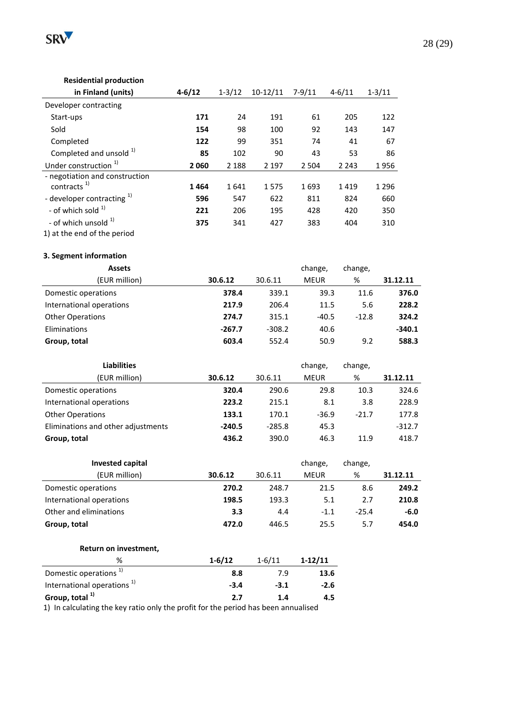

# 28 (29)

#### **Residential production**

| in Finland (units)                                        | $4 - 6/12$ | $1 - 3/12$ | $10-12/11$ | $7 - 9/11$ | $4 - 6/11$ | $1 - 3/11$ |
|-----------------------------------------------------------|------------|------------|------------|------------|------------|------------|
| Developer contracting                                     |            |            |            |            |            |            |
| Start-ups                                                 | 171        | 24         | 191        | 61         | 205        | 122        |
| Sold                                                      | 154        | 98         | 100        | 92         | 143        | 147        |
| Completed                                                 | 122        | 99         | 351        | 74         | 41         | 67         |
| Completed and unsold 1)                                   | 85         | 102        | 90         | 43         | 53         | 86         |
| Under construction <sup>1)</sup>                          | 2060       | 2 1 8 8    | 2 1 9 7    | 2 5 0 4    | 2 2 4 3    | 1956       |
| - negotiation and construction<br>contracts <sup>1)</sup> | 1464       | 1641       | 1575       | 1693       | 1419       | 1 2 9 6    |
| - developer contracting 1)                                | 596        | 547        | 622        | 811        | 824        | 660        |
| - of which sold $^{1}$                                    | 221        | 206        | 195        | 428        | 420        | 350        |
| - of which unsold <sup>1)</sup>                           | 375        | 341        | 427        | 383        | 404        | 310        |
| 1) at the end of the period                               |            |            |            |            |            |            |

#### **3. Segment information**

| <b>Assets</b>            |          |          | change,     | change, |          |
|--------------------------|----------|----------|-------------|---------|----------|
| (EUR million)            | 30.6.12  | 30.6.11  | <b>MEUR</b> | %       | 31.12.11 |
| Domestic operations      | 378.4    | 339.1    | 39.3        | 11.6    | 376.0    |
| International operations | 217.9    | 206.4    | 11.5        | 5.6     | 228.2    |
| <b>Other Operations</b>  | 274.7    | 315.1    | $-40.5$     | $-12.8$ | 324.2    |
| Eliminations             | $-267.7$ | $-308.2$ | 40.6        |         | $-340.1$ |
| Group, total             | 603.4    | 552.4    | 50.9        | 9.2     | 588.3    |

| <b>Liabilities</b>                 |          |          | change,     | change, |          |
|------------------------------------|----------|----------|-------------|---------|----------|
| (EUR million)                      | 30.6.12  | 30.6.11  | <b>MEUR</b> | %       | 31.12.11 |
| Domestic operations                | 320.4    | 290.6    | 29.8        | 10.3    | 324.6    |
| International operations           | 223.2    | 215.1    | 8.1         | 3.8     | 228.9    |
| <b>Other Operations</b>            | 133.1    | 170.1    | $-36.9$     | $-21.7$ | 177.8    |
| Eliminations and other adjustments | $-240.5$ | $-285.8$ | 45.3        |         | $-312.7$ |
| Group, total                       | 436.2    | 390.0    | 46.3        | 11.9    | 418.7    |

| <b>Invested capital</b>  |         |         | change,     | change, |          |
|--------------------------|---------|---------|-------------|---------|----------|
| (EUR million)            | 30.6.12 | 30.6.11 | <b>MEUR</b> | %       | 31.12.11 |
| Domestic operations      | 270.2   | 248.7   | 21.5        | 8.6     | 249.2    |
| International operations | 198.5   | 193.3   | 5.1         | 2.7     | 210.8    |
| Other and eliminations   | 3.3     | 4.4     | $-1.1$      | $-25.4$ | $-6.0$   |
| Group, total             | 472.0   | 446.5   | 25.5        | 5.7     | 454.0    |

#### **Return on investment,**

| %                                      | $1 - 6/12$ | $1 - 6/11$ | $1-12/11$ |
|----------------------------------------|------------|------------|-----------|
| Domestic operations <sup>1)</sup>      | 8.8        | 7.9        | 13.6      |
| International operations <sup>1)</sup> | $-3.4$     | $-3.1$     | $-2.6$    |
| Group, total 1)                        | 2.7        | 1.4        | 4.5       |
| .                                      |            |            |           |

1) In calculating the key ratio only the profit for the period has been annualised